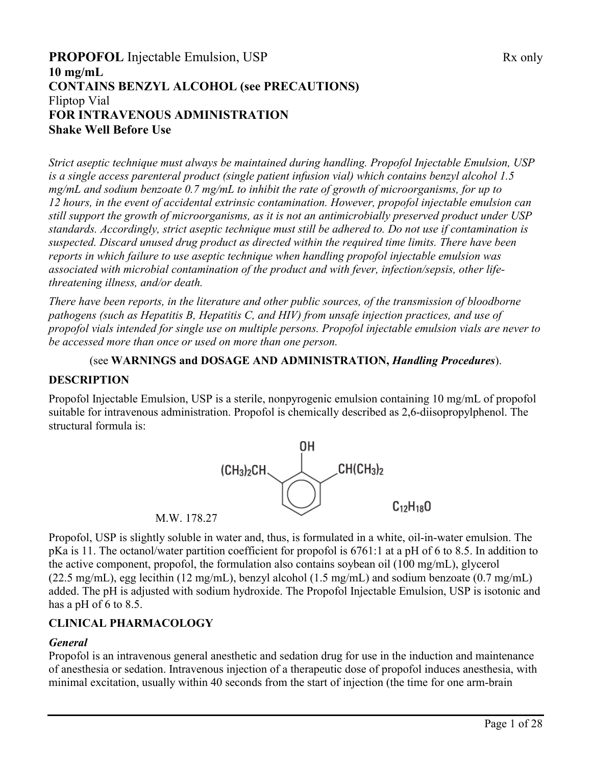# **PROPOFOL** Injectable Emulsion, USP Rx only **10 mg/mL CONTAINS BENZYL ALCOHOL (see PRECAUTIONS)** Fliptop Vial **FOR INTRAVENOUS ADMINISTRATION Shake Well Before Use**

*Strict aseptic technique must always be maintained during handling. Propofol Injectable Emulsion, USP is a single access parenteral product (single patient infusion vial) which contains benzyl alcohol 1.5 mg/mL and sodium benzoate 0.7 mg/mL to inhibit the rate of growth of microorganisms, for up to 12 hours, in the event of accidental extrinsic contamination. However, propofol injectable emulsion can still support the growth of microorganisms, as it is not an antimicrobially preserved product under USP standards. Accordingly, strict aseptic technique must still be adhered to. Do not use if contamination is suspected. Discard unused drug product as directed within the required time limits. There have been reports in which failure to use aseptic technique when handling propofol injectable emulsion was associated with microbial contamination of the product and with fever, infection/sepsis, other lifethreatening illness, and/or death.* 

*There have been reports, in the literature and other public sources, of the transmission of bloodborne pathogens (such as Hepatitis B, Hepatitis C, and HIV) from unsafe injection practices, and use of propofol vials intended for single use on multiple persons. Propofol injectable emulsion vials are never to be accessed more than once or used on more than one person.*

#### (see **WARNINGS and DOSAGE AND ADMINISTRATION,** *Handling Procedures*).

#### **DESCRIPTION**

Propofol Injectable Emulsion, USP is a sterile, nonpyrogenic emulsion containing 10 mg/mL of propofol suitable for intravenous administration. Propofol is chemically described as 2,6-diisopropylphenol. The structural formula is:



M.W. 178.27

Propofol, USP is slightly soluble in water and, thus, is formulated in a white, oil-in-water emulsion. The pKa is 11. The octanol/water partition coefficient for propofol is 6761:1 at a pH of 6 to 8.5. In addition to the active component, propofol, the formulation also contains soybean oil (100 mg/mL), glycerol (22.5 mg/mL), egg lecithin (12 mg/mL), benzyl alcohol (1.5 mg/mL) and sodium benzoate (0.7 mg/mL) added. The pH is adjusted with sodium hydroxide. The Propofol Injectable Emulsion, USP is isotonic and has a pH of 6 to 8.5.

## **CLINICAL PHARMACOLOGY**

## *General*

Propofol is an intravenous general anesthetic and sedation drug for use in the induction and maintenance of anesthesia or sedation. Intravenous injection of a therapeutic dose of propofol induces anesthesia, with minimal excitation, usually within 40 seconds from the start of injection (the time for one arm-brain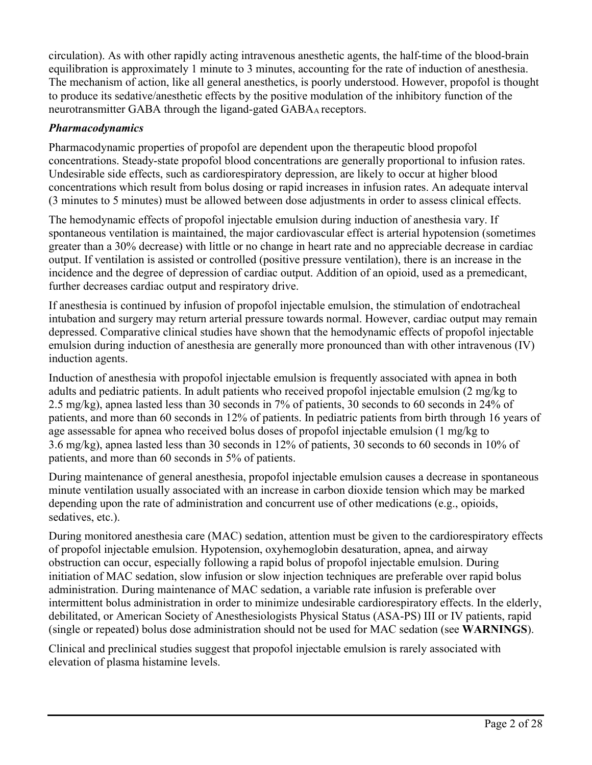circulation). As with other rapidly acting intravenous anesthetic agents, the half-time of the blood-brain equilibration is approximately 1 minute to 3 minutes, accounting for the rate of induction of anesthesia. The mechanism of action, like all general anesthetics, is poorly understood. However, propofol is thought to produce its sedative/anesthetic effects by the positive modulation of the inhibitory function of the neurotransmitter GABA through the ligand-gated GABAA receptors.

### *Pharmacodynamics*

Pharmacodynamic properties of propofol are dependent upon the therapeutic blood propofol concentrations. Steady-state propofol blood concentrations are generally proportional to infusion rates. Undesirable side effects, such as cardiorespiratory depression, are likely to occur at higher blood concentrations which result from bolus dosing or rapid increases in infusion rates. An adequate interval (3 minutes to 5 minutes) must be allowed between dose adjustments in order to assess clinical effects.

The hemodynamic effects of propofol injectable emulsion during induction of anesthesia vary. If spontaneous ventilation is maintained, the major cardiovascular effect is arterial hypotension (sometimes greater than a 30% decrease) with little or no change in heart rate and no appreciable decrease in cardiac output. If ventilation is assisted or controlled (positive pressure ventilation), there is an increase in the incidence and the degree of depression of cardiac output. Addition of an opioid, used as a premedicant, further decreases cardiac output and respiratory drive.

If anesthesia is continued by infusion of propofol injectable emulsion, the stimulation of endotracheal intubation and surgery may return arterial pressure towards normal. However, cardiac output may remain depressed. Comparative clinical studies have shown that the hemodynamic effects of propofol injectable emulsion during induction of anesthesia are generally more pronounced than with other intravenous (IV) induction agents.

Induction of anesthesia with propofol injectable emulsion is frequently associated with apnea in both adults and pediatric patients. In adult patients who received propofol injectable emulsion (2 mg/kg to 2.5 mg/kg), apnea lasted less than 30 seconds in 7% of patients, 30 seconds to 60 seconds in 24% of patients, and more than 60 seconds in 12% of patients. In pediatric patients from birth through 16 years of age assessable for apnea who received bolus doses of propofol injectable emulsion (1 mg/kg to 3.6 mg/kg), apnea lasted less than 30 seconds in 12% of patients, 30 seconds to 60 seconds in 10% of patients, and more than 60 seconds in 5% of patients.

During maintenance of general anesthesia, propofol injectable emulsion causes a decrease in spontaneous minute ventilation usually associated with an increase in carbon dioxide tension which may be marked depending upon the rate of administration and concurrent use of other medications (e.g., opioids, sedatives, etc.).

During monitored anesthesia care (MAC) sedation, attention must be given to the cardiorespiratory effects of propofol injectable emulsion. Hypotension, oxyhemoglobin desaturation, apnea, and airway obstruction can occur, especially following a rapid bolus of propofol injectable emulsion. During initiation of MAC sedation, slow infusion or slow injection techniques are preferable over rapid bolus administration. During maintenance of MAC sedation, a variable rate infusion is preferable over intermittent bolus administration in order to minimize undesirable cardiorespiratory effects. In the elderly, debilitated, or American Society of Anesthesiologists Physical Status (ASA-PS) III or IV patients, rapid (single or repeated) bolus dose administration should not be used for MAC sedation (see **WARNINGS**).

Clinical and preclinical studies suggest that propofol injectable emulsion is rarely associated with elevation of plasma histamine levels.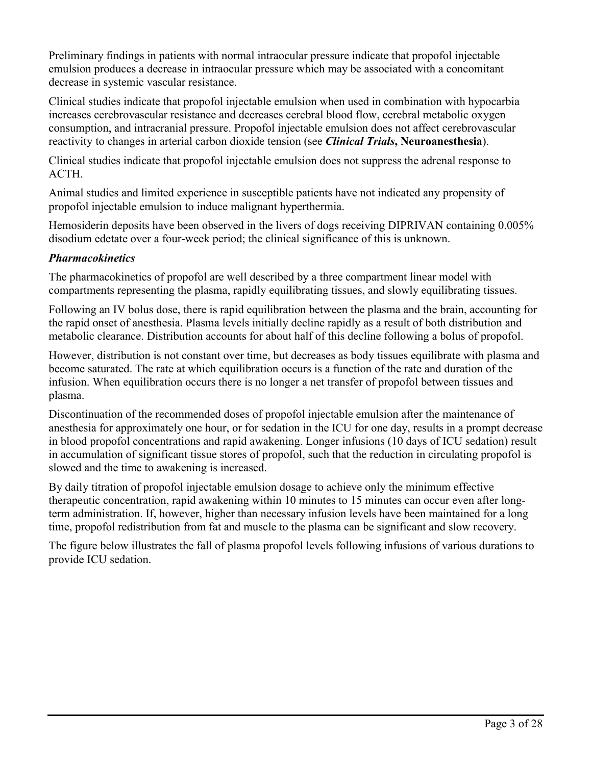Preliminary findings in patients with normal intraocular pressure indicate that propofol injectable emulsion produces a decrease in intraocular pressure which may be associated with a concomitant decrease in systemic vascular resistance.

Clinical studies indicate that propofol injectable emulsion when used in combination with hypocarbia increases cerebrovascular resistance and decreases cerebral blood flow, cerebral metabolic oxygen consumption, and intracranial pressure. Propofol injectable emulsion does not affect cerebrovascular reactivity to changes in arterial carbon dioxide tension (see *Clinical Trials***, Neuroanesthesia**).

Clinical studies indicate that propofol injectable emulsion does not suppress the adrenal response to ACTH.

Animal studies and limited experience in susceptible patients have not indicated any propensity of propofol injectable emulsion to induce malignant hyperthermia.

Hemosiderin deposits have been observed in the livers of dogs receiving DIPRIVAN containing 0.005% disodium edetate over a four-week period; the clinical significance of this is unknown.

### *Pharmacokinetics*

The pharmacokinetics of propofol are well described by a three compartment linear model with compartments representing the plasma, rapidly equilibrating tissues, and slowly equilibrating tissues.

Following an IV bolus dose, there is rapid equilibration between the plasma and the brain, accounting for the rapid onset of anesthesia. Plasma levels initially decline rapidly as a result of both distribution and metabolic clearance. Distribution accounts for about half of this decline following a bolus of propofol.

However, distribution is not constant over time, but decreases as body tissues equilibrate with plasma and become saturated. The rate at which equilibration occurs is a function of the rate and duration of the infusion. When equilibration occurs there is no longer a net transfer of propofol between tissues and plasma.

Discontinuation of the recommended doses of propofol injectable emulsion after the maintenance of anesthesia for approximately one hour, or for sedation in the ICU for one day, results in a prompt decrease in blood propofol concentrations and rapid awakening. Longer infusions (10 days of ICU sedation) result in accumulation of significant tissue stores of propofol, such that the reduction in circulating propofol is slowed and the time to awakening is increased.

By daily titration of propofol injectable emulsion dosage to achieve only the minimum effective therapeutic concentration, rapid awakening within 10 minutes to 15 minutes can occur even after longterm administration. If, however, higher than necessary infusion levels have been maintained for a long time, propofol redistribution from fat and muscle to the plasma can be significant and slow recovery.

The figure below illustrates the fall of plasma propofol levels following infusions of various durations to provide ICU sedation.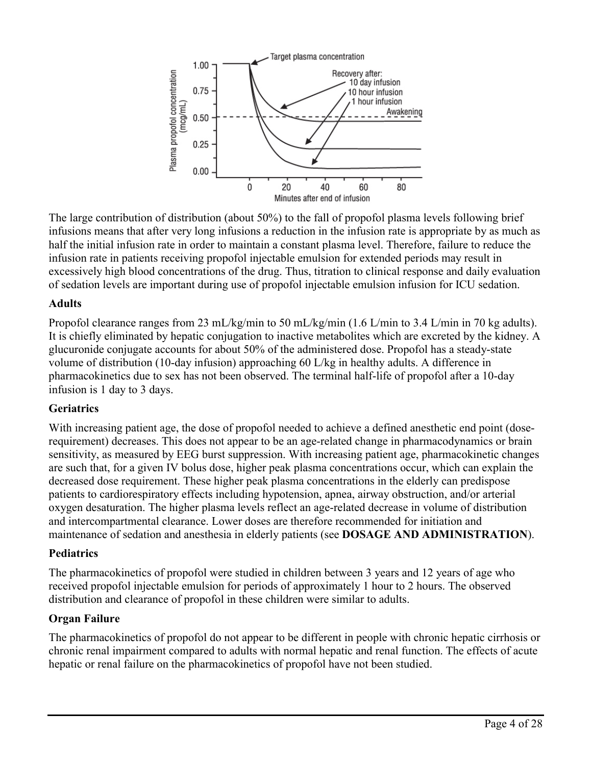

The large contribution of distribution (about 50%) to the fall of propofol plasma levels following brief infusions means that after very long infusions a reduction in the infusion rate is appropriate by as much as half the initial infusion rate in order to maintain a constant plasma level. Therefore, failure to reduce the infusion rate in patients receiving propofol injectable emulsion for extended periods may result in excessively high blood concentrations of the drug. Thus, titration to clinical response and daily evaluation of sedation levels are important during use of propofol injectable emulsion infusion for ICU sedation.

### **Adults**

Propofol clearance ranges from 23 mL/kg/min to 50 mL/kg/min (1.6 L/min to 3.4 L/min in 70 kg adults). It is chiefly eliminated by hepatic conjugation to inactive metabolites which are excreted by the kidney. A glucuronide conjugate accounts for about 50% of the administered dose. Propofol has a steady-state volume of distribution (10-day infusion) approaching 60 L/kg in healthy adults. A difference in pharmacokinetics due to sex has not been observed. The terminal half-life of propofol after a 10-day infusion is 1 day to 3 days.

## **Geriatrics**

With increasing patient age, the dose of propofol needed to achieve a defined anesthetic end point (doserequirement) decreases. This does not appear to be an age-related change in pharmacodynamics or brain sensitivity, as measured by EEG burst suppression. With increasing patient age, pharmacokinetic changes are such that, for a given IV bolus dose, higher peak plasma concentrations occur, which can explain the decreased dose requirement. These higher peak plasma concentrations in the elderly can predispose patients to cardiorespiratory effects including hypotension, apnea, airway obstruction, and/or arterial oxygen desaturation. The higher plasma levels reflect an age-related decrease in volume of distribution and intercompartmental clearance. Lower doses are therefore recommended for initiation and maintenance of sedation and anesthesia in elderly patients (see **DOSAGE AND ADMINISTRATION**).

## **Pediatrics**

The pharmacokinetics of propofol were studied in children between 3 years and 12 years of age who received propofol injectable emulsion for periods of approximately 1 hour to 2 hours. The observed distribution and clearance of propofol in these children were similar to adults.

## **Organ Failure**

The pharmacokinetics of propofol do not appear to be different in people with chronic hepatic cirrhosis or chronic renal impairment compared to adults with normal hepatic and renal function. The effects of acute hepatic or renal failure on the pharmacokinetics of propofol have not been studied.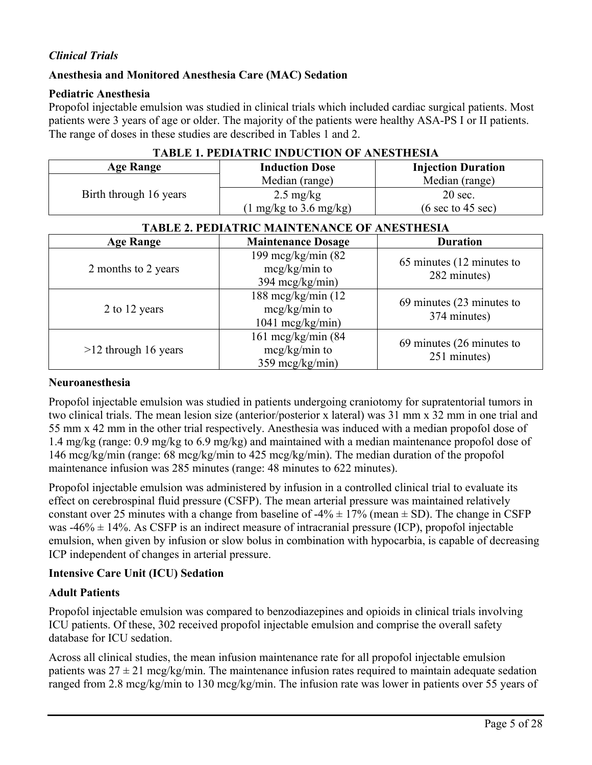## *Clinical Trials*

#### **Anesthesia and Monitored Anesthesia Care (MAC) Sedation**

#### **Pediatric Anesthesia**

Propofol injectable emulsion was studied in clinical trials which included cardiac surgical patients. Most patients were 3 years of age or older. The majority of the patients were healthy ASA-PS I or II patients. The range of doses in these studies are described in Tables 1 and 2.

| <b>Age Range</b>                                    | <b>Induction Dose</b>                                                | <b>Injection Duration</b>                            |  |  |
|-----------------------------------------------------|----------------------------------------------------------------------|------------------------------------------------------|--|--|
|                                                     | Median (range)                                                       | Median (range)                                       |  |  |
| Birth through 16 years                              | $2.5 \text{ mg/kg}$                                                  | $20$ sec.                                            |  |  |
|                                                     | $(1 \text{ mg/kg}$ to 3.6 mg/kg)                                     | $(6 \text{ sec to } 45 \text{ sec})$                 |  |  |
| <b>TABLE 2. PEDIATRIC MAINTENANCE OF ANESTHESIA</b> |                                                                      |                                                      |  |  |
| <b>Age Range</b>                                    | <b>Maintenance Dosage</b>                                            | <b>Duration</b>                                      |  |  |
| 2 months to 2 years                                 | 199 mcg/kg/min $(82)$<br>$mcg/kg/min$ to<br>$394 \text{~mcg/kg/min}$ | 65 minutes (12 minutes to<br>282 minutes)            |  |  |
| 2 to 12 years                                       | 188 mcg/kg/min (12<br>$mcg/kg/min$ to<br>$1041 \text{~mcg/kg/min}$   | 69 minutes $(23 \text{ minutes to})$<br>374 minutes) |  |  |

161 mcg/kg/min (84 mcg/kg/min to 359 mcg/kg/min)

#### **TABLE 1. PEDIATRIC INDUCTION OF ANESTHESIA**

#### **Neuroanesthesia**

>12 through 16 years

Propofol injectable emulsion was studied in patients undergoing craniotomy for supratentorial tumors in two clinical trials. The mean lesion size (anterior/posterior x lateral) was 31 mm x 32 mm in one trial and 55 mm x 42 mm in the other trial respectively. Anesthesia was induced with a median propofol dose of 1.4 mg/kg (range: 0.9 mg/kg to 6.9 mg/kg) and maintained with a median maintenance propofol dose of 146 mcg/kg/min (range: 68 mcg/kg/min to 425 mcg/kg/min). The median duration of the propofol maintenance infusion was 285 minutes (range: 48 minutes to 622 minutes).

Propofol injectable emulsion was administered by infusion in a controlled clinical trial to evaluate its effect on cerebrospinal fluid pressure (CSFP). The mean arterial pressure was maintained relatively constant over 25 minutes with a change from baseline of  $-4\% \pm 17\%$  (mean  $\pm$  SD). The change in CSFP was  $-46\% \pm 14\%$ . As CSFP is an indirect measure of intracranial pressure (ICP), propofol injectable emulsion, when given by infusion or slow bolus in combination with hypocarbia, is capable of decreasing ICP independent of changes in arterial pressure.

#### **Intensive Care Unit (ICU) Sedation**

#### **Adult Patients**

Propofol injectable emulsion was compared to benzodiazepines and opioids in clinical trials involving ICU patients. Of these, 302 received propofol injectable emulsion and comprise the overall safety database for ICU sedation.

Across all clinical studies, the mean infusion maintenance rate for all propofol injectable emulsion patients was  $27 \pm 21$  mcg/kg/min. The maintenance infusion rates required to maintain adequate sedation ranged from 2.8 mcg/kg/min to 130 mcg/kg/min. The infusion rate was lower in patients over 55 years of

69 minutes (26 minutes to 251 minutes)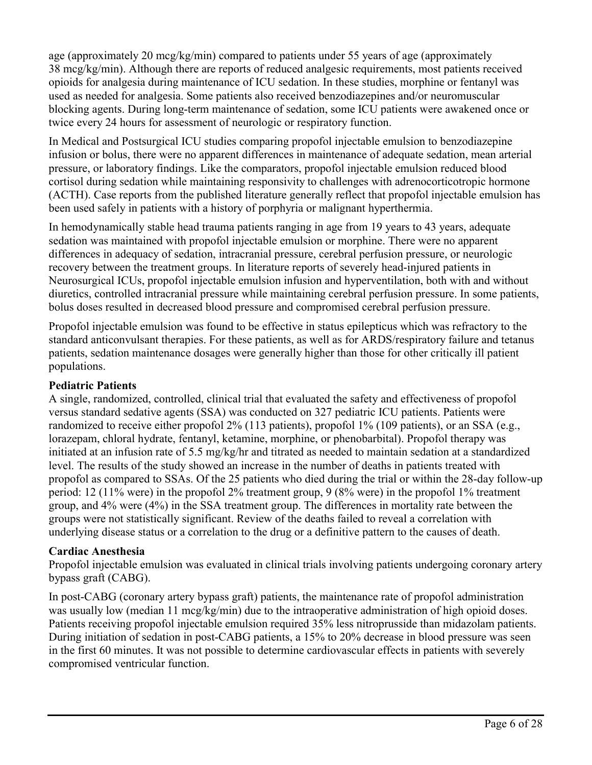age (approximately 20 mcg/kg/min) compared to patients under 55 years of age (approximately 38 mcg/kg/min). Although there are reports of reduced analgesic requirements, most patients received opioids for analgesia during maintenance of ICU sedation. In these studies, morphine or fentanyl was used as needed for analgesia. Some patients also received benzodiazepines and/or neuromuscular blocking agents. During long-term maintenance of sedation, some ICU patients were awakened once or twice every 24 hours for assessment of neurologic or respiratory function.

In Medical and Postsurgical ICU studies comparing propofol injectable emulsion to benzodiazepine infusion or bolus, there were no apparent differences in maintenance of adequate sedation, mean arterial pressure, or laboratory findings. Like the comparators, propofol injectable emulsion reduced blood cortisol during sedation while maintaining responsivity to challenges with adrenocorticotropic hormone (ACTH). Case reports from the published literature generally reflect that propofol injectable emulsion has been used safely in patients with a history of porphyria or malignant hyperthermia.

In hemodynamically stable head trauma patients ranging in age from 19 years to 43 years, adequate sedation was maintained with propofol injectable emulsion or morphine. There were no apparent differences in adequacy of sedation, intracranial pressure, cerebral perfusion pressure, or neurologic recovery between the treatment groups. In literature reports of severely head-injured patients in Neurosurgical ICUs, propofol injectable emulsion infusion and hyperventilation, both with and without diuretics, controlled intracranial pressure while maintaining cerebral perfusion pressure. In some patients, bolus doses resulted in decreased blood pressure and compromised cerebral perfusion pressure.

Propofol injectable emulsion was found to be effective in status epilepticus which was refractory to the standard anticonvulsant therapies. For these patients, as well as for ARDS/respiratory failure and tetanus patients, sedation maintenance dosages were generally higher than those for other critically ill patient populations.

## **Pediatric Patients**

A single, randomized, controlled, clinical trial that evaluated the safety and effectiveness of propofol versus standard sedative agents (SSA) was conducted on 327 pediatric ICU patients. Patients were randomized to receive either propofol 2% (113 patients), propofol 1% (109 patients), or an SSA (e.g., lorazepam, chloral hydrate, fentanyl, ketamine, morphine, or phenobarbital). Propofol therapy was initiated at an infusion rate of 5.5 mg/kg/hr and titrated as needed to maintain sedation at a standardized level. The results of the study showed an increase in the number of deaths in patients treated with propofol as compared to SSAs. Of the 25 patients who died during the trial or within the 28-day follow-up period: 12 (11% were) in the propofol 2% treatment group, 9 (8% were) in the propofol 1% treatment group, and 4% were (4%) in the SSA treatment group. The differences in mortality rate between the groups were not statistically significant. Review of the deaths failed to reveal a correlation with underlying disease status or a correlation to the drug or a definitive pattern to the causes of death.

#### **Cardiac Anesthesia**

Propofol injectable emulsion was evaluated in clinical trials involving patients undergoing coronary artery bypass graft (CABG).

In post-CABG (coronary artery bypass graft) patients, the maintenance rate of propofol administration was usually low (median 11 mcg/kg/min) due to the intraoperative administration of high opioid doses. Patients receiving propofol injectable emulsion required 35% less nitroprusside than midazolam patients. During initiation of sedation in post-CABG patients, a 15% to 20% decrease in blood pressure was seen in the first 60 minutes. It was not possible to determine cardiovascular effects in patients with severely compromised ventricular function.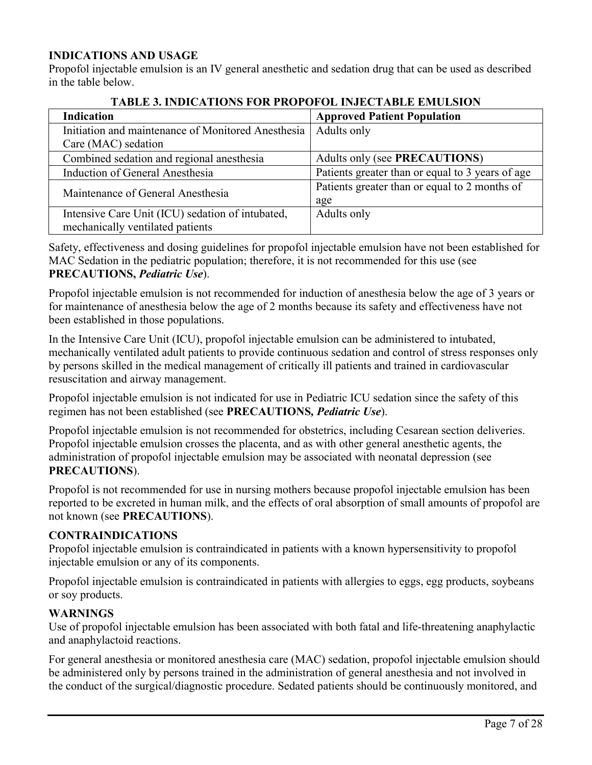### **INDICATIONS AND USAGE**

Propofol injectable emulsion is an IV general anesthetic and sedation drug that can be used as described in the table below.

| <b>Indication</b>                                  | <b>Approved Patient Population</b>               |  |  |
|----------------------------------------------------|--------------------------------------------------|--|--|
| Initiation and maintenance of Monitored Anesthesia | Adults only                                      |  |  |
| Care (MAC) sedation                                |                                                  |  |  |
| Combined sedation and regional anesthesia          | Adults only (see PRECAUTIONS)                    |  |  |
| Induction of General Anesthesia                    | Patients greater than or equal to 3 years of age |  |  |
| Maintenance of General Anesthesia                  | Patients greater than or equal to 2 months of    |  |  |
|                                                    | age                                              |  |  |
| Intensive Care Unit (ICU) sedation of intubated,   | Adults only                                      |  |  |
| mechanically ventilated patients                   |                                                  |  |  |

## **TABLE 3. INDICATIONS FOR PROPOFOL INJECTABLE EMULSION**

Safety, effectiveness and dosing guidelines for propofol injectable emulsion have not been established for MAC Sedation in the pediatric population; therefore, it is not recommended for this use (see **PRECAUTIONS,** *Pediatric Use*).

Propofol injectable emulsion is not recommended for induction of anesthesia below the age of 3 years or for maintenance of anesthesia below the age of 2 months because its safety and effectiveness have not been established in those populations.

In the Intensive Care Unit (ICU), propofol injectable emulsion can be administered to intubated, mechanically ventilated adult patients to provide continuous sedation and control of stress responses only by persons skilled in the medical management of critically ill patients and trained in cardiovascular resuscitation and airway management.

Propofol injectable emulsion is not indicated for use in Pediatric ICU sedation since the safety of this regimen has not been established (see **PRECAUTIONS***, Pediatric Use*).

Propofol injectable emulsion is not recommended for obstetrics, including Cesarean section deliveries. Propofol injectable emulsion crosses the placenta, and as with other general anesthetic agents, the administration of propofol injectable emulsion may be associated with neonatal depression (see **PRECAUTIONS**).

Propofol is not recommended for use in nursing mothers because propofol injectable emulsion has been reported to be excreted in human milk, and the effects of oral absorption of small amounts of propofol are not known (see **PRECAUTIONS**).

#### **CONTRAINDICATIONS**

Propofol injectable emulsion is contraindicated in patients with a known hypersensitivity to propofol injectable emulsion or any of its components.

Propofol injectable emulsion is contraindicated in patients with allergies to eggs, egg products, soybeans or soy products.

#### **WARNINGS**

Use of propofol injectable emulsion has been associated with both fatal and life-threatening anaphylactic and anaphylactoid reactions.

For general anesthesia or monitored anesthesia care (MAC) sedation, propofol injectable emulsion should be administered only by persons trained in the administration of general anesthesia and not involved in the conduct of the surgical/diagnostic procedure. Sedated patients should be continuously monitored, and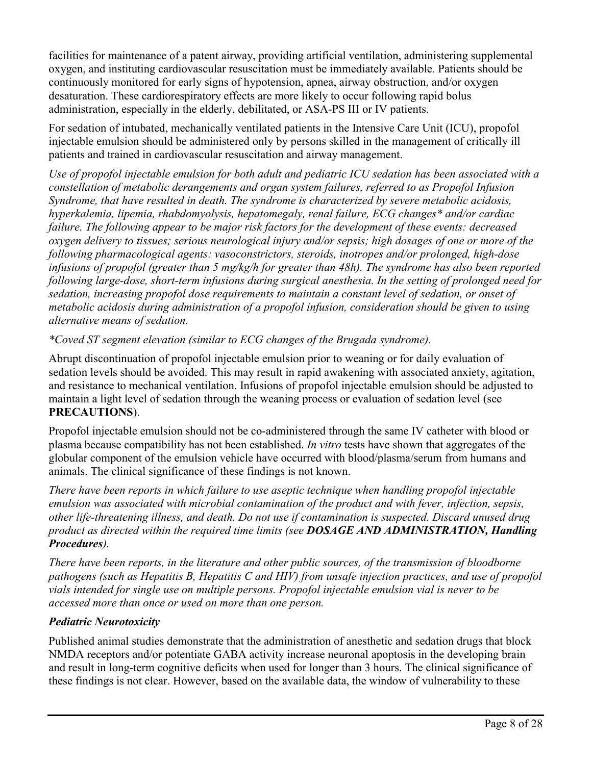facilities for maintenance of a patent airway, providing artificial ventilation, administering supplemental oxygen, and instituting cardiovascular resuscitation must be immediately available. Patients should be continuously monitored for early signs of hypotension, apnea, airway obstruction, and/or oxygen desaturation. These cardiorespiratory effects are more likely to occur following rapid bolus administration, especially in the elderly, debilitated, or ASA-PS III or IV patients.

For sedation of intubated, mechanically ventilated patients in the Intensive Care Unit (ICU), propofol injectable emulsion should be administered only by persons skilled in the management of critically ill patients and trained in cardiovascular resuscitation and airway management.

*Use of propofol injectable emulsion for both adult and pediatric ICU sedation has been associated with a constellation of metabolic derangements and organ system failures, referred to as Propofol Infusion Syndrome, that have resulted in death. The syndrome is characterized by severe metabolic acidosis, hyperkalemia, lipemia, rhabdomyolysis, hepatomegaly, renal failure, ECG changes\* and/or cardiac failure. The following appear to be major risk factors for the development of these events: decreased oxygen delivery to tissues; serious neurological injury and/or sepsis; high dosages of one or more of the following pharmacological agents: vasoconstrictors, steroids, inotropes and/or prolonged, high-dose infusions of propofol (greater than 5 mg/kg/h for greater than 48h). The syndrome has also been reported following large-dose, short-term infusions during surgical anesthesia. In the setting of prolonged need for sedation, increasing propofol dose requirements to maintain a constant level of sedation, or onset of metabolic acidosis during administration of a propofol infusion, consideration should be given to using alternative means of sedation.* 

*\*Coved ST segment elevation (similar to ECG changes of the Brugada syndrome).*

Abrupt discontinuation of propofol injectable emulsion prior to weaning or for daily evaluation of sedation levels should be avoided. This may result in rapid awakening with associated anxiety, agitation, and resistance to mechanical ventilation. Infusions of propofol injectable emulsion should be adjusted to maintain a light level of sedation through the weaning process or evaluation of sedation level (see **PRECAUTIONS**).

Propofol injectable emulsion should not be co-administered through the same IV catheter with blood or plasma because compatibility has not been established. *In vitro* tests have shown that aggregates of the globular component of the emulsion vehicle have occurred with blood/plasma/serum from humans and animals. The clinical significance of these findings is not known.

*There have been reports in which failure to use aseptic technique when handling propofol injectable emulsion was associated with microbial contamination of the product and with fever, infection, sepsis, other life-threatening illness, and death. Do not use if contamination is suspected. Discard unused drug product as directed within the required time limits (see DOSAGE AND ADMINISTRATION, Handling Procedures).* 

*There have been reports, in the literature and other public sources, of the transmission of bloodborne pathogens (such as Hepatitis B, Hepatitis C and HIV) from unsafe injection practices, and use of propofol vials intended for single use on multiple persons. Propofol injectable emulsion vial is never to be accessed more than once or used on more than one person.*

## *Pediatric Neurotoxicity*

Published animal studies demonstrate that the administration of anesthetic and sedation drugs that block NMDA receptors and/or potentiate GABA activity increase neuronal apoptosis in the developing brain and result in long-term cognitive deficits when used for longer than 3 hours. The clinical significance of these findings is not clear. However, based on the available data, the window of vulnerability to these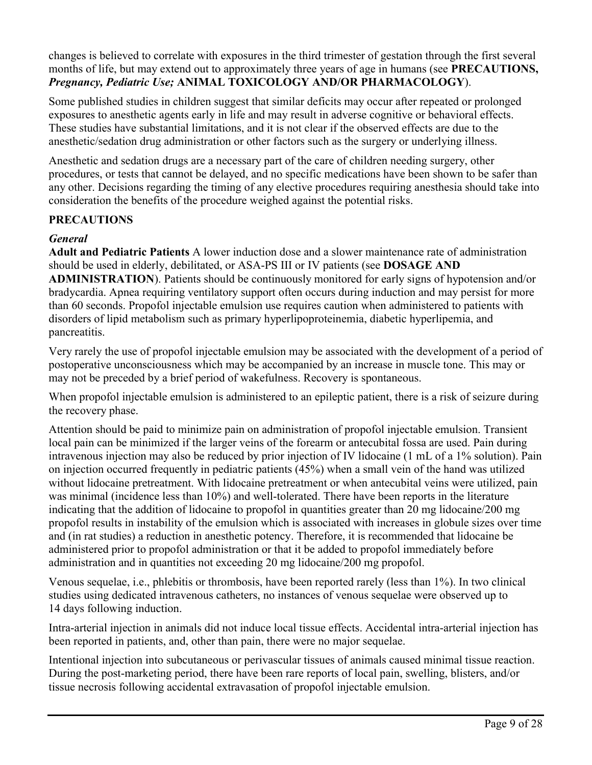changes is believed to correlate with exposures in the third trimester of gestation through the first several months of life, but may extend out to approximately three years of age in humans (see **PRECAUTIONS,** *Pregnancy, Pediatric Use;* **ANIMAL TOXICOLOGY AND/OR PHARMACOLOGY**).

Some published studies in children suggest that similar deficits may occur after repeated or prolonged exposures to anesthetic agents early in life and may result in adverse cognitive or behavioral effects. These studies have substantial limitations, and it is not clear if the observed effects are due to the anesthetic/sedation drug administration or other factors such as the surgery or underlying illness.

Anesthetic and sedation drugs are a necessary part of the care of children needing surgery, other procedures, or tests that cannot be delayed, and no specific medications have been shown to be safer than any other. Decisions regarding the timing of any elective procedures requiring anesthesia should take into consideration the benefits of the procedure weighed against the potential risks.

### **PRECAUTIONS**

#### *General*

**Adult and Pediatric Patients** A lower induction dose and a slower maintenance rate of administration should be used in elderly, debilitated, or ASA-PS III or IV patients (see **DOSAGE AND ADMINISTRATION**). Patients should be continuously monitored for early signs of hypotension and/or bradycardia. Apnea requiring ventilatory support often occurs during induction and may persist for more than 60 seconds. Propofol injectable emulsion use requires caution when administered to patients with disorders of lipid metabolism such as primary hyperlipoproteinemia, diabetic hyperlipemia, and pancreatitis.

Very rarely the use of propofol injectable emulsion may be associated with the development of a period of postoperative unconsciousness which may be accompanied by an increase in muscle tone. This may or may not be preceded by a brief period of wakefulness. Recovery is spontaneous.

When propofol injectable emulsion is administered to an epileptic patient, there is a risk of seizure during the recovery phase.

Attention should be paid to minimize pain on administration of propofol injectable emulsion. Transient local pain can be minimized if the larger veins of the forearm or antecubital fossa are used. Pain during intravenous injection may also be reduced by prior injection of IV lidocaine (1 mL of a 1% solution). Pain on injection occurred frequently in pediatric patients (45%) when a small vein of the hand was utilized without lidocaine pretreatment. With lidocaine pretreatment or when antecubital veins were utilized, pain was minimal (incidence less than 10%) and well-tolerated. There have been reports in the literature indicating that the addition of lidocaine to propofol in quantities greater than 20 mg lidocaine/200 mg propofol results in instability of the emulsion which is associated with increases in globule sizes over time and (in rat studies) a reduction in anesthetic potency. Therefore, it is recommended that lidocaine be administered prior to propofol administration or that it be added to propofol immediately before administration and in quantities not exceeding 20 mg lidocaine/200 mg propofol.

Venous sequelae, i.e., phlebitis or thrombosis, have been reported rarely (less than 1%). In two clinical studies using dedicated intravenous catheters, no instances of venous sequelae were observed up to 14 days following induction.

Intra-arterial injection in animals did not induce local tissue effects. Accidental intra-arterial injection has been reported in patients, and, other than pain, there were no major sequelae.

Intentional injection into subcutaneous or perivascular tissues of animals caused minimal tissue reaction. During the post-marketing period, there have been rare reports of local pain, swelling, blisters, and/or tissue necrosis following accidental extravasation of propofol injectable emulsion.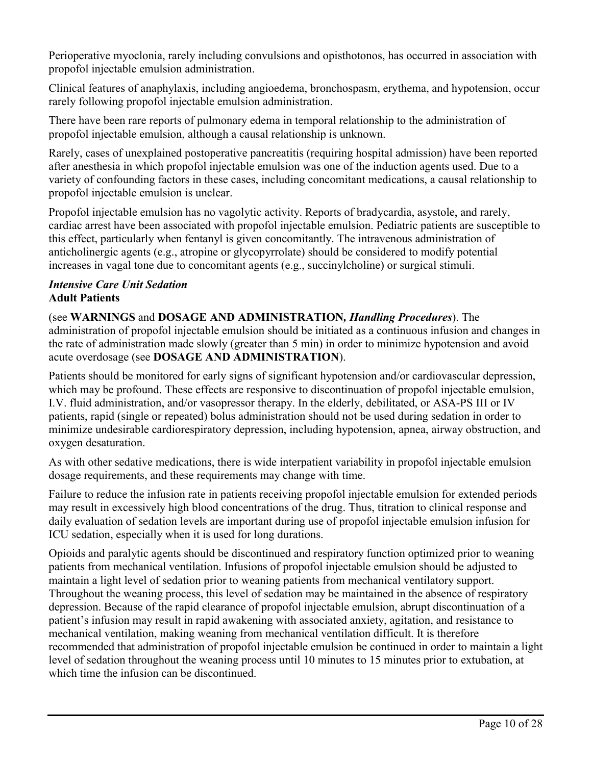Perioperative myoclonia, rarely including convulsions and opisthotonos, has occurred in association with propofol injectable emulsion administration.

Clinical features of anaphylaxis, including angioedema, bronchospasm, erythema, and hypotension, occur rarely following propofol injectable emulsion administration.

There have been rare reports of pulmonary edema in temporal relationship to the administration of propofol injectable emulsion, although a causal relationship is unknown.

Rarely, cases of unexplained postoperative pancreatitis (requiring hospital admission) have been reported after anesthesia in which propofol injectable emulsion was one of the induction agents used. Due to a variety of confounding factors in these cases, including concomitant medications, a causal relationship to propofol injectable emulsion is unclear.

Propofol injectable emulsion has no vagolytic activity. Reports of bradycardia, asystole, and rarely, cardiac arrest have been associated with propofol injectable emulsion. Pediatric patients are susceptible to this effect, particularly when fentanyl is given concomitantly. The intravenous administration of anticholinergic agents (e.g., atropine or glycopyrrolate) should be considered to modify potential increases in vagal tone due to concomitant agents (e.g., succinylcholine) or surgical stimuli.

#### *Intensive Care Unit Sedation* **Adult Patients**

(see **WARNINGS** and **DOSAGE AND ADMINISTRATION***, Handling Procedures*). The administration of propofol injectable emulsion should be initiated as a continuous infusion and changes in

the rate of administration made slowly (greater than 5 min) in order to minimize hypotension and avoid acute overdosage (see **DOSAGE AND ADMINISTRATION**).

Patients should be monitored for early signs of significant hypotension and/or cardiovascular depression, which may be profound. These effects are responsive to discontinuation of propofol injectable emulsion, I.V. fluid administration, and/or vasopressor therapy. In the elderly, debilitated, or ASA-PS III or IV patients, rapid (single or repeated) bolus administration should not be used during sedation in order to minimize undesirable cardiorespiratory depression, including hypotension, apnea, airway obstruction, and oxygen desaturation.

As with other sedative medications, there is wide interpatient variability in propofol injectable emulsion dosage requirements, and these requirements may change with time.

Failure to reduce the infusion rate in patients receiving propofol injectable emulsion for extended periods may result in excessively high blood concentrations of the drug. Thus, titration to clinical response and daily evaluation of sedation levels are important during use of propofol injectable emulsion infusion for ICU sedation, especially when it is used for long durations.

Opioids and paralytic agents should be discontinued and respiratory function optimized prior to weaning patients from mechanical ventilation. Infusions of propofol injectable emulsion should be adjusted to maintain a light level of sedation prior to weaning patients from mechanical ventilatory support. Throughout the weaning process, this level of sedation may be maintained in the absence of respiratory depression. Because of the rapid clearance of propofol injectable emulsion, abrupt discontinuation of a patient's infusion may result in rapid awakening with associated anxiety, agitation, and resistance to mechanical ventilation, making weaning from mechanical ventilation difficult. It is therefore recommended that administration of propofol injectable emulsion be continued in order to maintain a light level of sedation throughout the weaning process until 10 minutes to 15 minutes prior to extubation, at which time the infusion can be discontinued.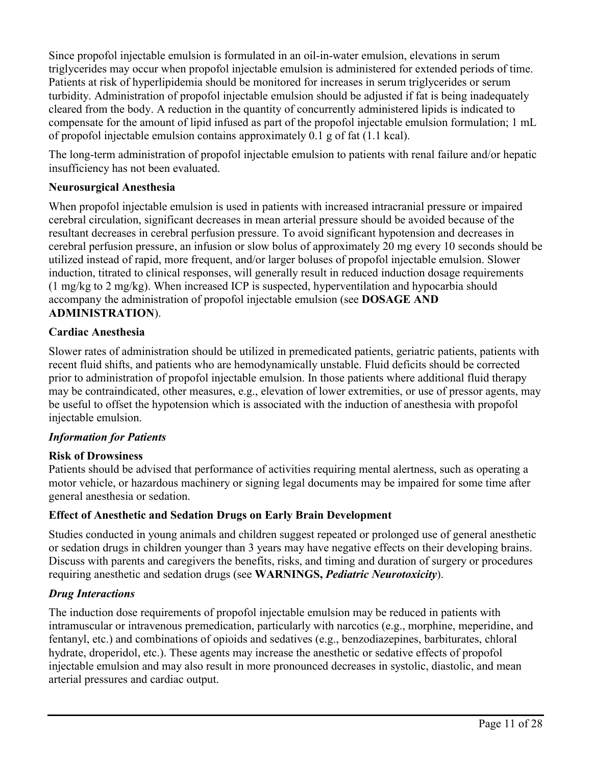Since propofol injectable emulsion is formulated in an oil-in-water emulsion, elevations in serum triglycerides may occur when propofol injectable emulsion is administered for extended periods of time. Patients at risk of hyperlipidemia should be monitored for increases in serum triglycerides or serum turbidity. Administration of propofol injectable emulsion should be adjusted if fat is being inadequately cleared from the body. A reduction in the quantity of concurrently administered lipids is indicated to compensate for the amount of lipid infused as part of the propofol injectable emulsion formulation; 1 mL of propofol injectable emulsion contains approximately 0.1 g of fat (1.1 kcal).

The long-term administration of propofol injectable emulsion to patients with renal failure and/or hepatic insufficiency has not been evaluated.

### **Neurosurgical Anesthesia**

When propofol injectable emulsion is used in patients with increased intracranial pressure or impaired cerebral circulation, significant decreases in mean arterial pressure should be avoided because of the resultant decreases in cerebral perfusion pressure. To avoid significant hypotension and decreases in cerebral perfusion pressure, an infusion or slow bolus of approximately 20 mg every 10 seconds should be utilized instead of rapid, more frequent, and/or larger boluses of propofol injectable emulsion. Slower induction, titrated to clinical responses, will generally result in reduced induction dosage requirements (1 mg/kg to 2 mg/kg). When increased ICP is suspected, hyperventilation and hypocarbia should accompany the administration of propofol injectable emulsion (see **DOSAGE AND ADMINISTRATION**).

### **Cardiac Anesthesia**

Slower rates of administration should be utilized in premedicated patients, geriatric patients, patients with recent fluid shifts, and patients who are hemodynamically unstable. Fluid deficits should be corrected prior to administration of propofol injectable emulsion. In those patients where additional fluid therapy may be contraindicated, other measures, e.g., elevation of lower extremities, or use of pressor agents, may be useful to offset the hypotension which is associated with the induction of anesthesia with propofol injectable emulsion.

## *Information for Patients*

#### **Risk of Drowsiness**

Patients should be advised that performance of activities requiring mental alertness, such as operating a motor vehicle, or hazardous machinery or signing legal documents may be impaired for some time after general anesthesia or sedation.

## **Effect of Anesthetic and Sedation Drugs on Early Brain Development**

Studies conducted in young animals and children suggest repeated or prolonged use of general anesthetic or sedation drugs in children younger than 3 years may have negative effects on their developing brains. Discuss with parents and caregivers the benefits, risks, and timing and duration of surgery or procedures requiring anesthetic and sedation drugs (see **WARNINGS,** *Pediatric Neurotoxicity*).

## *Drug Interactions*

The induction dose requirements of propofol injectable emulsion may be reduced in patients with intramuscular or intravenous premedication, particularly with narcotics (e.g., morphine, meperidine, and fentanyl, etc.) and combinations of opioids and sedatives (e.g., benzodiazepines, barbiturates, chloral hydrate, droperidol, etc.). These agents may increase the anesthetic or sedative effects of propofol injectable emulsion and may also result in more pronounced decreases in systolic, diastolic, and mean arterial pressures and cardiac output.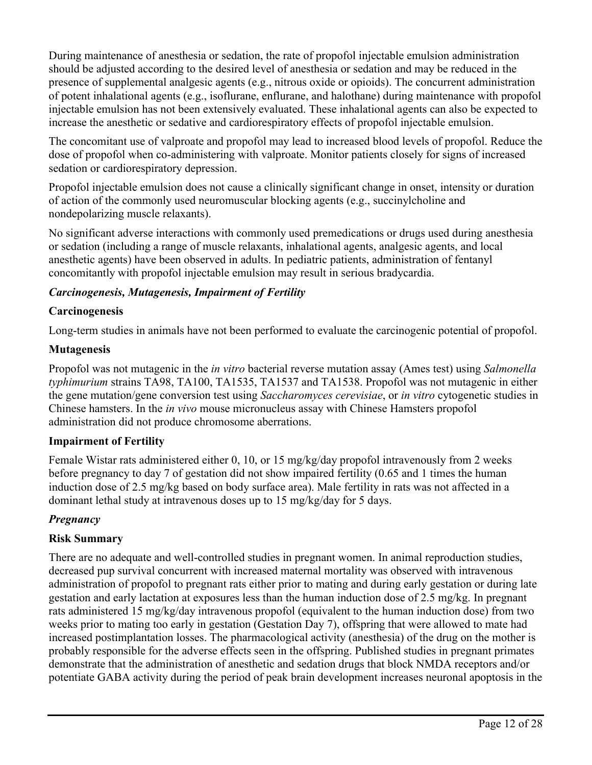During maintenance of anesthesia or sedation, the rate of propofol injectable emulsion administration should be adjusted according to the desired level of anesthesia or sedation and may be reduced in the presence of supplemental analgesic agents (e.g., nitrous oxide or opioids). The concurrent administration of potent inhalational agents (e.g., isoflurane, enflurane, and halothane) during maintenance with propofol injectable emulsion has not been extensively evaluated. These inhalational agents can also be expected to increase the anesthetic or sedative and cardiorespiratory effects of propofol injectable emulsion.

The concomitant use of valproate and propofol may lead to increased blood levels of propofol. Reduce the dose of propofol when co-administering with valproate. Monitor patients closely for signs of increased sedation or cardiorespiratory depression.

Propofol injectable emulsion does not cause a clinically significant change in onset, intensity or duration of action of the commonly used neuromuscular blocking agents (e.g., succinylcholine and nondepolarizing muscle relaxants).

No significant adverse interactions with commonly used premedications or drugs used during anesthesia or sedation (including a range of muscle relaxants, inhalational agents, analgesic agents, and local anesthetic agents) have been observed in adults. In pediatric patients, administration of fentanyl concomitantly with propofol injectable emulsion may result in serious bradycardia.

# *Carcinogenesis, Mutagenesis, Impairment of Fertility*

# **Carcinogenesis**

Long-term studies in animals have not been performed to evaluate the carcinogenic potential of propofol.

# **Mutagenesis**

Propofol was not mutagenic in the *in vitro* bacterial reverse mutation assay (Ames test) using *Salmonella typhimurium* strains TA98, TA100, TA1535, TA1537 and TA1538. Propofol was not mutagenic in either the gene mutation/gene conversion test using *Saccharomyces cerevisiae*, or *in vitro* cytogenetic studies in Chinese hamsters. In the *in vivo* mouse micronucleus assay with Chinese Hamsters propofol administration did not produce chromosome aberrations.

# **Impairment of Fertility**

Female Wistar rats administered either 0, 10, or 15 mg/kg/day propofol intravenously from 2 weeks before pregnancy to day 7 of gestation did not show impaired fertility (0.65 and 1 times the human induction dose of 2.5 mg/kg based on body surface area). Male fertility in rats was not affected in a dominant lethal study at intravenous doses up to 15 mg/kg/day for 5 days.

# *Pregnancy*

# **Risk Summary**

There are no adequate and well-controlled studies in pregnant women. In animal reproduction studies, decreased pup survival concurrent with increased maternal mortality was observed with intravenous administration of propofol to pregnant rats either prior to mating and during early gestation or during late gestation and early lactation at exposures less than the human induction dose of 2.5 mg/kg. In pregnant rats administered 15 mg/kg/day intravenous propofol (equivalent to the human induction dose) from two weeks prior to mating too early in gestation (Gestation Day 7), offspring that were allowed to mate had increased postimplantation losses. The pharmacological activity (anesthesia) of the drug on the mother is probably responsible for the adverse effects seen in the offspring. Published studies in pregnant primates demonstrate that the administration of anesthetic and sedation drugs that block NMDA receptors and/or potentiate GABA activity during the period of peak brain development increases neuronal apoptosis in the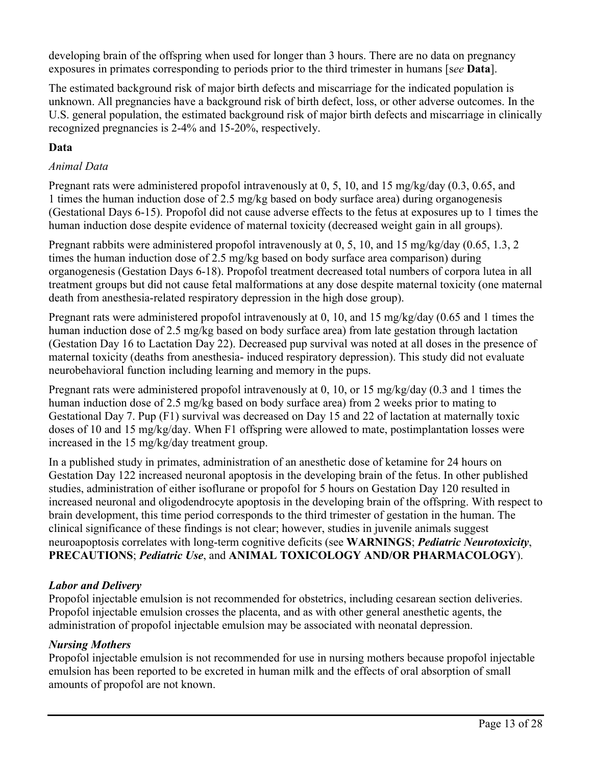developing brain of the offspring when used for longer than 3 hours. There are no data on pregnancy exposures in primates corresponding to periods prior to the third trimester in humans [s*ee* **Data**].

The estimated background risk of major birth defects and miscarriage for the indicated population is unknown. All pregnancies have a background risk of birth defect, loss, or other adverse outcomes. In the U.S. general population, the estimated background risk of major birth defects and miscarriage in clinically recognized pregnancies is 2-4% and 15-20%, respectively.

## **Data**

### *Animal Data*

Pregnant rats were administered propofol intravenously at 0, 5, 10, and 15 mg/kg/day (0.3, 0.65, and 1 times the human induction dose of 2.5 mg/kg based on body surface area) during organogenesis (Gestational Days 6-15). Propofol did not cause adverse effects to the fetus at exposures up to 1 times the human induction dose despite evidence of maternal toxicity (decreased weight gain in all groups).

Pregnant rabbits were administered propofol intravenously at 0, 5, 10, and 15 mg/kg/day (0.65, 1.3, 2 times the human induction dose of 2.5 mg/kg based on body surface area comparison) during organogenesis (Gestation Days 6-18). Propofol treatment decreased total numbers of corpora lutea in all treatment groups but did not cause fetal malformations at any dose despite maternal toxicity (one maternal death from anesthesia-related respiratory depression in the high dose group).

Pregnant rats were administered propofol intravenously at 0, 10, and 15 mg/kg/day (0.65 and 1 times the human induction dose of 2.5 mg/kg based on body surface area) from late gestation through lactation (Gestation Day 16 to Lactation Day 22). Decreased pup survival was noted at all doses in the presence of maternal toxicity (deaths from anesthesia- induced respiratory depression). This study did not evaluate neurobehavioral function including learning and memory in the pups.

Pregnant rats were administered propofol intravenously at 0, 10, or 15 mg/kg/day (0.3 and 1 times the human induction dose of 2.5 mg/kg based on body surface area) from 2 weeks prior to mating to Gestational Day 7. Pup (F1) survival was decreased on Day 15 and 22 of lactation at maternally toxic doses of 10 and 15 mg/kg/day. When F1 offspring were allowed to mate, postimplantation losses were increased in the 15 mg/kg/day treatment group.

In a published study in primates, administration of an anesthetic dose of ketamine for 24 hours on Gestation Day 122 increased neuronal apoptosis in the developing brain of the fetus. In other published studies, administration of either isoflurane or propofol for 5 hours on Gestation Day 120 resulted in increased neuronal and oligodendrocyte apoptosis in the developing brain of the offspring. With respect to brain development, this time period corresponds to the third trimester of gestation in the human. The clinical significance of these findings is not clear; however, studies in juvenile animals suggest neuroapoptosis correlates with long-term cognitive deficits (see **WARNINGS**; *Pediatric Neurotoxicity*, **PRECAUTIONS**; *Pediatric Use*, and **ANIMAL TOXICOLOGY AND/OR PHARMACOLOGY**).

## *Labor and Delivery*

Propofol injectable emulsion is not recommended for obstetrics, including cesarean section deliveries. Propofol injectable emulsion crosses the placenta, and as with other general anesthetic agents, the administration of propofol injectable emulsion may be associated with neonatal depression.

#### *Nursing Mothers*

Propofol injectable emulsion is not recommended for use in nursing mothers because propofol injectable emulsion has been reported to be excreted in human milk and the effects of oral absorption of small amounts of propofol are not known.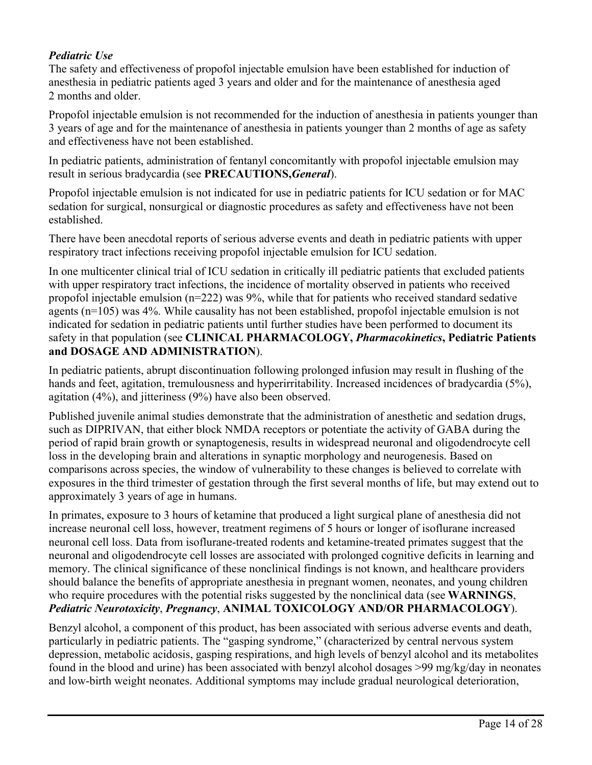### *Pediatric Use*

The safety and effectiveness of propofol injectable emulsion have been established for induction of anesthesia in pediatric patients aged 3 years and older and for the maintenance of anesthesia aged 2 months and older.

Propofol injectable emulsion is not recommended for the induction of anesthesia in patients younger than 3 years of age and for the maintenance of anesthesia in patients younger than 2 months of age as safety and effectiveness have not been established.

In pediatric patients, administration of fentanyl concomitantly with propofol injectable emulsion may result in serious bradycardia (see **PRECAUTIONS,***General*).

Propofol injectable emulsion is not indicated for use in pediatric patients for ICU sedation or for MAC sedation for surgical, nonsurgical or diagnostic procedures as safety and effectiveness have not been established.

There have been anecdotal reports of serious adverse events and death in pediatric patients with upper respiratory tract infections receiving propofol injectable emulsion for ICU sedation.

In one multicenter clinical trial of ICU sedation in critically ill pediatric patients that excluded patients with upper respiratory tract infections, the incidence of mortality observed in patients who received propofol injectable emulsion (n=222) was 9%, while that for patients who received standard sedative agents (n=105) was 4%. While causality has not been established, propofol injectable emulsion is not indicated for sedation in pediatric patients until further studies have been performed to document its safety in that population (see **CLINICAL PHARMACOLOGY,** *Pharmacokinetics***, Pediatric Patients and DOSAGE AND ADMINISTRATION**).

In pediatric patients, abrupt discontinuation following prolonged infusion may result in flushing of the hands and feet, agitation, tremulousness and hyperirritability. Increased incidences of bradycardia (5%), agitation (4%), and jitteriness (9%) have also been observed.

Published juvenile animal studies demonstrate that the administration of anesthetic and sedation drugs, such as DIPRIVAN, that either block NMDA receptors or potentiate the activity of GABA during the period of rapid brain growth or synaptogenesis, results in widespread neuronal and oligodendrocyte cell loss in the developing brain and alterations in synaptic morphology and neurogenesis. Based on comparisons across species, the window of vulnerability to these changes is believed to correlate with exposures in the third trimester of gestation through the first several months of life, but may extend out to approximately 3 years of age in humans.

In primates, exposure to 3 hours of ketamine that produced a light surgical plane of anesthesia did not increase neuronal cell loss, however, treatment regimens of 5 hours or longer of isoflurane increased neuronal cell loss. Data from isoflurane-treated rodents and ketamine-treated primates suggest that the neuronal and oligodendrocyte cell losses are associated with prolonged cognitive deficits in learning and memory. The clinical significance of these nonclinical findings is not known, and healthcare providers should balance the benefits of appropriate anesthesia in pregnant women, neonates, and young children who require procedures with the potential risks suggested by the nonclinical data (see **WARNINGS**, *Pediatric Neurotoxicity*, *Pregnancy*, **ANIMAL TOXICOLOGY AND/OR PHARMACOLOGY**).

Benzyl alcohol, a component of this product, has been associated with serious adverse events and death, particularly in pediatric patients. The "gasping syndrome," (characterized by central nervous system depression, metabolic acidosis, gasping respirations, and high levels of benzyl alcohol and its metabolites found in the blood and urine) has been associated with benzyl alcohol dosages >99 mg/kg/day in neonates and low-birth weight neonates. Additional symptoms may include gradual neurological deterioration,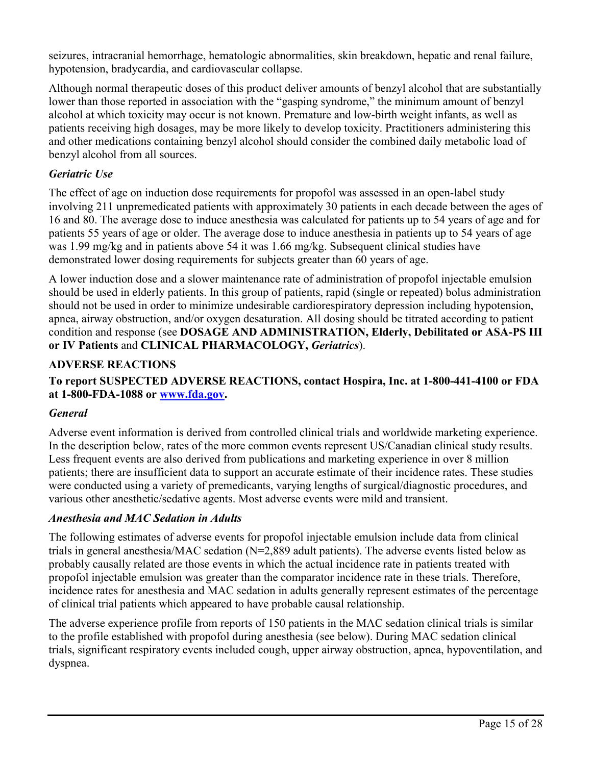seizures, intracranial hemorrhage, hematologic abnormalities, skin breakdown, hepatic and renal failure, hypotension, bradycardia, and cardiovascular collapse.

Although normal therapeutic doses of this product deliver amounts of benzyl alcohol that are substantially lower than those reported in association with the "gasping syndrome," the minimum amount of benzyl alcohol at which toxicity may occur is not known. Premature and low-birth weight infants, as well as patients receiving high dosages, may be more likely to develop toxicity. Practitioners administering this and other medications containing benzyl alcohol should consider the combined daily metabolic load of benzyl alcohol from all sources.

# *Geriatric Use*

The effect of age on induction dose requirements for propofol was assessed in an open-label study involving 211 unpremedicated patients with approximately 30 patients in each decade between the ages of 16 and 80. The average dose to induce anesthesia was calculated for patients up to 54 years of age and for patients 55 years of age or older. The average dose to induce anesthesia in patients up to 54 years of age was 1.99 mg/kg and in patients above 54 it was 1.66 mg/kg. Subsequent clinical studies have demonstrated lower dosing requirements for subjects greater than 60 years of age.

A lower induction dose and a slower maintenance rate of administration of propofol injectable emulsion should be used in elderly patients. In this group of patients, rapid (single or repeated) bolus administration should not be used in order to minimize undesirable cardiorespiratory depression including hypotension, apnea, airway obstruction, and/or oxygen desaturation. All dosing should be titrated according to patient condition and response (see **DOSAGE AND ADMINISTRATION, Elderly, Debilitated or ASA-PS III or IV Patients** and **CLINICAL PHARMACOLOGY,** *Geriatrics*).

## **ADVERSE REACTIONS**

## **To report SUSPECTED ADVERSE REACTIONS, contact Hospira, Inc. at 1-800-441-4100 or FDA at 1-800-FDA-1088 or [www.fda.gov](http://www.fda.gov/).**

## *General*

Adverse event information is derived from controlled clinical trials and worldwide marketing experience. In the description below, rates of the more common events represent US/Canadian clinical study results. Less frequent events are also derived from publications and marketing experience in over 8 million patients; there are insufficient data to support an accurate estimate of their incidence rates. These studies were conducted using a variety of premedicants, varying lengths of surgical/diagnostic procedures, and various other anesthetic/sedative agents. Most adverse events were mild and transient.

#### *Anesthesia and MAC Sedation in Adults*

The following estimates of adverse events for propofol injectable emulsion include data from clinical trials in general anesthesia/MAC sedation (N=2,889 adult patients). The adverse events listed below as probably causally related are those events in which the actual incidence rate in patients treated with propofol injectable emulsion was greater than the comparator incidence rate in these trials. Therefore, incidence rates for anesthesia and MAC sedation in adults generally represent estimates of the percentage of clinical trial patients which appeared to have probable causal relationship.

The adverse experience profile from reports of 150 patients in the MAC sedation clinical trials is similar to the profile established with propofol during anesthesia (see below). During MAC sedation clinical trials, significant respiratory events included cough, upper airway obstruction, apnea, hypoventilation, and dyspnea.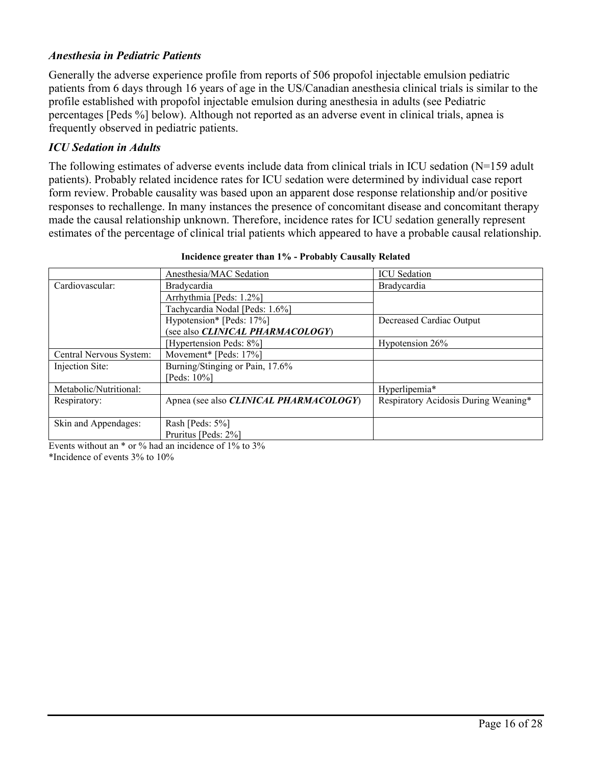#### *Anesthesia in Pediatric Patients*

Generally the adverse experience profile from reports of 506 propofol injectable emulsion pediatric patients from 6 days through 16 years of age in the US/Canadian anesthesia clinical trials is similar to the profile established with propofol injectable emulsion during anesthesia in adults (see Pediatric percentages [Peds %] below). Although not reported as an adverse event in clinical trials, apnea is frequently observed in pediatric patients.

#### *ICU Sedation in Adults*

The following estimates of adverse events include data from clinical trials in ICU sedation  $(N=159$  adult patients). Probably related incidence rates for ICU sedation were determined by individual case report form review. Probable causality was based upon an apparent dose response relationship and/or positive responses to rechallenge. In many instances the presence of concomitant disease and concomitant therapy made the causal relationship unknown. Therefore, incidence rates for ICU sedation generally represent estimates of the percentage of clinical trial patients which appeared to have a probable causal relationship.

|                         | Anesthesia/MAC Sedation                | <b>ICU</b> Sedation                  |
|-------------------------|----------------------------------------|--------------------------------------|
| Cardiovascular:         | Bradycardia                            | Bradycardia                          |
|                         | Arrhythmia [Peds: 1.2%]                |                                      |
|                         | Tachycardia Nodal [Peds: 1.6%]         |                                      |
|                         | Hypotension* [Peds: 17%]               | Decreased Cardiac Output             |
|                         | (see also CLINICAL PHARMACOLOGY)       |                                      |
|                         | [Hypertension Peds: 8%]                | Hypotension 26%                      |
| Central Nervous System: | Movement* [Peds: 17%]                  |                                      |
| Injection Site:         | Burning/Stinging or Pain, 17.6%        |                                      |
|                         | [Peds: $10\%$ ]                        |                                      |
| Metabolic/Nutritional:  |                                        | Hyperlipemia*                        |
| Respiratory:            | Apnea (see also CLINICAL PHARMACOLOGY) | Respiratory Acidosis During Weaning* |
|                         |                                        |                                      |
| Skin and Appendages:    | Rash [Peds: 5%]                        |                                      |
|                         | Pruritus [Peds: 2%]                    |                                      |

**Incidence greater than 1% - Probably Causally Related**

Events without an  $*$  or  $\%$  had an incidence of 1% to 3% \*Incidence of events 3% to 10%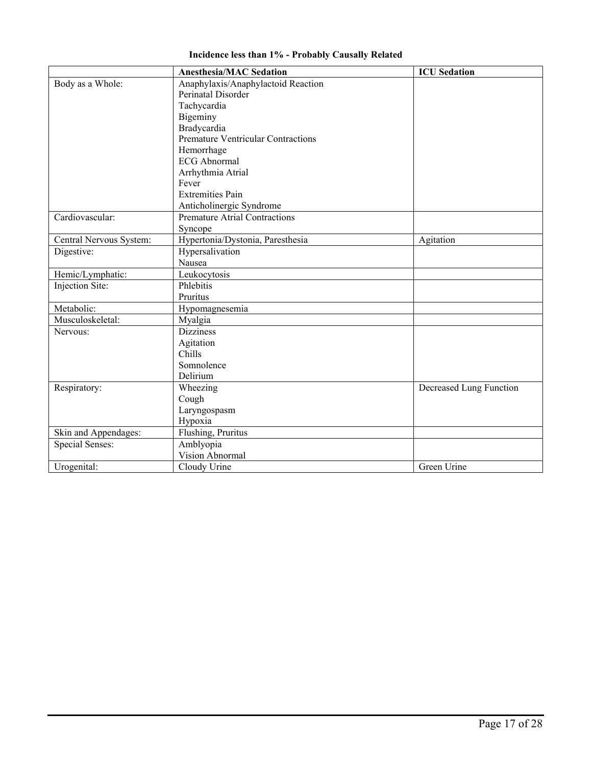|  |  |  |  | <b>Incidence less than 1% - Probably Causally Related</b> |  |  |
|--|--|--|--|-----------------------------------------------------------|--|--|
|--|--|--|--|-----------------------------------------------------------|--|--|

|                         | <b>Anesthesia/MAC Sedation</b>            | <b>ICU</b> Sedation     |
|-------------------------|-------------------------------------------|-------------------------|
| Body as a Whole:        | Anaphylaxis/Anaphylactoid Reaction        |                         |
|                         | Perinatal Disorder                        |                         |
|                         | Tachycardia                               |                         |
|                         | Bigeminy                                  |                         |
|                         | Bradycardia                               |                         |
|                         | <b>Premature Ventricular Contractions</b> |                         |
|                         | Hemorrhage                                |                         |
|                         | <b>ECG</b> Abnormal                       |                         |
|                         | Arrhythmia Atrial                         |                         |
|                         | Fever                                     |                         |
|                         | <b>Extremities Pain</b>                   |                         |
|                         | Anticholinergic Syndrome                  |                         |
| Cardiovascular:         | <b>Premature Atrial Contractions</b>      |                         |
|                         | Syncope                                   |                         |
| Central Nervous System: | Hypertonia/Dystonia, Paresthesia          | Agitation               |
| Digestive:              | Hypersalivation                           |                         |
|                         | Nausea                                    |                         |
| Hemic/Lymphatic:        | Leukocytosis                              |                         |
| Injection Site:         | Phlebitis                                 |                         |
|                         | Pruritus                                  |                         |
| Metabolic:              | Hypomagnesemia                            |                         |
| Musculoskeletal:        | Myalgia                                   |                         |
| Nervous:                | <b>Dizziness</b>                          |                         |
|                         | Agitation                                 |                         |
|                         | Chills                                    |                         |
|                         | Somnolence                                |                         |
|                         | Delirium                                  |                         |
| Respiratory:            | Wheezing                                  | Decreased Lung Function |
|                         | Cough                                     |                         |
|                         | Laryngospasm                              |                         |
|                         | Hypoxia                                   |                         |
| Skin and Appendages:    | Flushing, Pruritus                        |                         |
| <b>Special Senses:</b>  | Amblyopia                                 |                         |
|                         | Vision Abnormal                           |                         |
| Urogenital:             | Cloudy Urine                              | Green Urine             |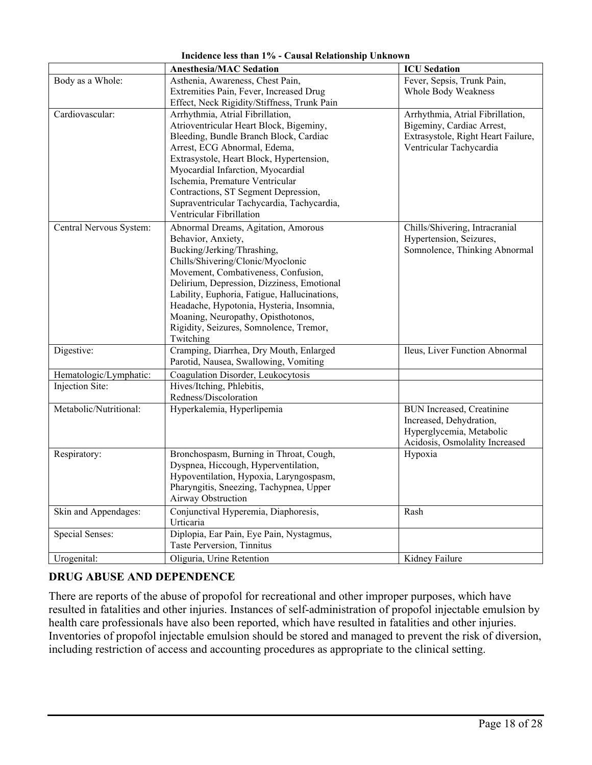|                         | <b>Anesthesia/MAC Sedation</b>                                                                                                                                                                                                                                                                                                                                                                              | <b>ICU</b> Sedation                                                                                                            |
|-------------------------|-------------------------------------------------------------------------------------------------------------------------------------------------------------------------------------------------------------------------------------------------------------------------------------------------------------------------------------------------------------------------------------------------------------|--------------------------------------------------------------------------------------------------------------------------------|
| Body as a Whole:        | Asthenia, Awareness, Chest Pain,<br>Extremities Pain, Fever, Increased Drug                                                                                                                                                                                                                                                                                                                                 | Fever, Sepsis, Trunk Pain,<br>Whole Body Weakness                                                                              |
|                         | Effect, Neck Rigidity/Stiffness, Trunk Pain                                                                                                                                                                                                                                                                                                                                                                 |                                                                                                                                |
| Cardiovascular:         | Arrhythmia, Atrial Fibrillation,<br>Atrioventricular Heart Block, Bigeminy,<br>Bleeding, Bundle Branch Block, Cardiac<br>Arrest, ECG Abnormal, Edema,<br>Extrasystole, Heart Block, Hypertension,<br>Myocardial Infarction, Myocardial<br>Ischemia, Premature Ventricular<br>Contractions, ST Segment Depression,<br>Supraventricular Tachycardia, Tachycardia,<br>Ventricular Fibrillation                 | Arrhythmia, Atrial Fibrillation,<br>Bigeminy, Cardiac Arrest,<br>Extrasystole, Right Heart Failure,<br>Ventricular Tachycardia |
| Central Nervous System: | Abnormal Dreams, Agitation, Amorous<br>Behavior, Anxiety,<br>Bucking/Jerking/Thrashing,<br>Chills/Shivering/Clonic/Myoclonic<br>Movement, Combativeness, Confusion,<br>Delirium, Depression, Dizziness, Emotional<br>Lability, Euphoria, Fatigue, Hallucinations,<br>Headache, Hypotonia, Hysteria, Insomnia,<br>Moaning, Neuropathy, Opisthotonos,<br>Rigidity, Seizures, Somnolence, Tremor,<br>Twitching | Chills/Shivering, Intracranial<br>Hypertension, Seizures,<br>Somnolence, Thinking Abnormal                                     |
| Digestive:              | Cramping, Diarrhea, Dry Mouth, Enlarged<br>Parotid, Nausea, Swallowing, Vomiting                                                                                                                                                                                                                                                                                                                            | Ileus, Liver Function Abnormal                                                                                                 |
| Hematologic/Lymphatic:  | Coagulation Disorder, Leukocytosis                                                                                                                                                                                                                                                                                                                                                                          |                                                                                                                                |
| Injection Site:         | Hives/Itching, Phlebitis,<br>Redness/Discoloration                                                                                                                                                                                                                                                                                                                                                          |                                                                                                                                |
| Metabolic/Nutritional:  | Hyperkalemia, Hyperlipemia                                                                                                                                                                                                                                                                                                                                                                                  | <b>BUN</b> Increased, Creatinine<br>Increased, Dehydration,<br>Hyperglycemia, Metabolic<br>Acidosis, Osmolality Increased      |
| Respiratory:            | Bronchospasm, Burning in Throat, Cough,<br>Dyspnea, Hiccough, Hyperventilation,<br>Hypoventilation, Hypoxia, Laryngospasm,<br>Pharyngitis, Sneezing, Tachypnea, Upper<br>Airway Obstruction                                                                                                                                                                                                                 | Hypoxia                                                                                                                        |
| Skin and Appendages:    | Conjunctival Hyperemia, Diaphoresis,<br>Urticaria                                                                                                                                                                                                                                                                                                                                                           | Rash                                                                                                                           |
| <b>Special Senses:</b>  | Diplopia, Ear Pain, Eye Pain, Nystagmus,<br>Taste Perversion, Tinnitus                                                                                                                                                                                                                                                                                                                                      |                                                                                                                                |
| Urogenital:             | Oliguria, Urine Retention                                                                                                                                                                                                                                                                                                                                                                                   | Kidney Failure                                                                                                                 |

#### **Incidence less than 1% - Causal Relationship Unknown**

## **DRUG ABUSE AND DEPENDENCE**

There are reports of the abuse of propofol for recreational and other improper purposes, which have resulted in fatalities and other injuries. Instances of self-administration of propofol injectable emulsion by health care professionals have also been reported, which have resulted in fatalities and other injuries. Inventories of propofol injectable emulsion should be stored and managed to prevent the risk of diversion, including restriction of access and accounting procedures as appropriate to the clinical setting.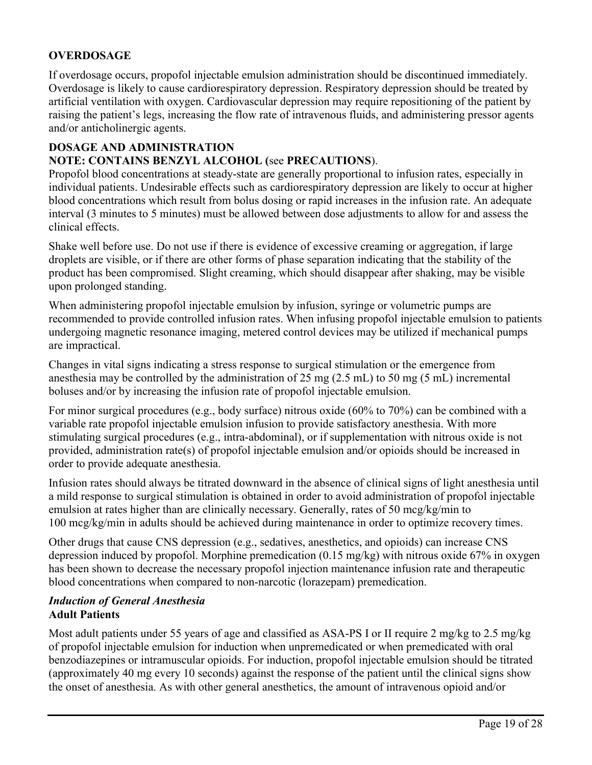# **OVERDOSAGE**

If overdosage occurs, propofol injectable emulsion administration should be discontinued immediately. Overdosage is likely to cause cardiorespiratory depression. Respiratory depression should be treated by artificial ventilation with oxygen. Cardiovascular depression may require repositioning of the patient by raising the patient's legs, increasing the flow rate of intravenous fluids, and administering pressor agents and/or anticholinergic agents.

### **DOSAGE AND ADMINISTRATION**

### **NOTE: CONTAINS BENZYL ALCOHOL (**see **PRECAUTIONS**).

Propofol blood concentrations at steady-state are generally proportional to infusion rates, especially in individual patients. Undesirable effects such as cardiorespiratory depression are likely to occur at higher blood concentrations which result from bolus dosing or rapid increases in the infusion rate. An adequate interval (3 minutes to 5 minutes) must be allowed between dose adjustments to allow for and assess the clinical effects.

Shake well before use. Do not use if there is evidence of excessive creaming or aggregation, if large droplets are visible, or if there are other forms of phase separation indicating that the stability of the product has been compromised. Slight creaming, which should disappear after shaking, may be visible upon prolonged standing.

When administering propofol injectable emulsion by infusion, syringe or volumetric pumps are recommended to provide controlled infusion rates. When infusing propofol injectable emulsion to patients undergoing magnetic resonance imaging, metered control devices may be utilized if mechanical pumps are impractical.

Changes in vital signs indicating a stress response to surgical stimulation or the emergence from anesthesia may be controlled by the administration of 25 mg (2.5 mL) to 50 mg (5 mL) incremental boluses and/or by increasing the infusion rate of propofol injectable emulsion.

For minor surgical procedures (e.g., body surface) nitrous oxide (60% to 70%) can be combined with a variable rate propofol injectable emulsion infusion to provide satisfactory anesthesia. With more stimulating surgical procedures (e.g., intra-abdominal), or if supplementation with nitrous oxide is not provided, administration rate(s) of propofol injectable emulsion and/or opioids should be increased in order to provide adequate anesthesia.

Infusion rates should always be titrated downward in the absence of clinical signs of light anesthesia until a mild response to surgical stimulation is obtained in order to avoid administration of propofol injectable emulsion at rates higher than are clinically necessary. Generally, rates of 50 mcg/kg/min to 100 mcg/kg/min in adults should be achieved during maintenance in order to optimize recovery times.

Other drugs that cause CNS depression (e.g., sedatives, anesthetics, and opioids) can increase CNS depression induced by propofol. Morphine premedication (0.15 mg/kg) with nitrous oxide 67% in oxygen has been shown to decrease the necessary propofol injection maintenance infusion rate and therapeutic blood concentrations when compared to non-narcotic (lorazepam) premedication.

#### *Induction of General Anesthesia* **Adult Patients**

Most adult patients under 55 years of age and classified as ASA-PS I or II require 2 mg/kg to 2.5 mg/kg of propofol injectable emulsion for induction when unpremedicated or when premedicated with oral benzodiazepines or intramuscular opioids. For induction, propofol injectable emulsion should be titrated (approximately 40 mg every 10 seconds) against the response of the patient until the clinical signs show the onset of anesthesia. As with other general anesthetics, the amount of intravenous opioid and/or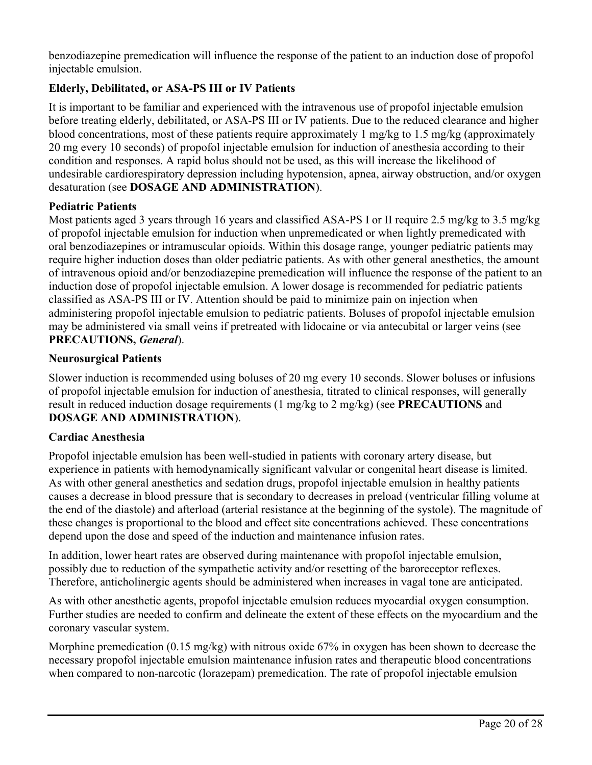benzodiazepine premedication will influence the response of the patient to an induction dose of propofol injectable emulsion.

# **Elderly, Debilitated, or ASA-PS III or IV Patients**

It is important to be familiar and experienced with the intravenous use of propofol injectable emulsion before treating elderly, debilitated, or ASA-PS III or IV patients. Due to the reduced clearance and higher blood concentrations, most of these patients require approximately 1 mg/kg to 1.5 mg/kg (approximately 20 mg every 10 seconds) of propofol injectable emulsion for induction of anesthesia according to their condition and responses. A rapid bolus should not be used, as this will increase the likelihood of undesirable cardiorespiratory depression including hypotension, apnea, airway obstruction, and/or oxygen desaturation (see **DOSAGE AND ADMINISTRATION**).

#### **Pediatric Patients**

Most patients aged 3 years through 16 years and classified ASA-PS I or II require 2.5 mg/kg to 3.5 mg/kg of propofol injectable emulsion for induction when unpremedicated or when lightly premedicated with oral benzodiazepines or intramuscular opioids. Within this dosage range, younger pediatric patients may require higher induction doses than older pediatric patients. As with other general anesthetics, the amount of intravenous opioid and/or benzodiazepine premedication will influence the response of the patient to an induction dose of propofol injectable emulsion. A lower dosage is recommended for pediatric patients classified as ASA-PS III or IV. Attention should be paid to minimize pain on injection when administering propofol injectable emulsion to pediatric patients. Boluses of propofol injectable emulsion may be administered via small veins if pretreated with lidocaine or via antecubital or larger veins (see **PRECAUTIONS,** *General*).

### **Neurosurgical Patients**

Slower induction is recommended using boluses of 20 mg every 10 seconds. Slower boluses or infusions of propofol injectable emulsion for induction of anesthesia, titrated to clinical responses, will generally result in reduced induction dosage requirements (1 mg/kg to 2 mg/kg) (see **PRECAUTIONS** and **DOSAGE AND ADMINISTRATION**).

#### **Cardiac Anesthesia**

Propofol injectable emulsion has been well-studied in patients with coronary artery disease, but experience in patients with hemodynamically significant valvular or congenital heart disease is limited. As with other general anesthetics and sedation drugs, propofol injectable emulsion in healthy patients causes a decrease in blood pressure that is secondary to decreases in preload (ventricular filling volume at the end of the diastole) and afterload (arterial resistance at the beginning of the systole). The magnitude of these changes is proportional to the blood and effect site concentrations achieved. These concentrations depend upon the dose and speed of the induction and maintenance infusion rates.

In addition, lower heart rates are observed during maintenance with propofol injectable emulsion, possibly due to reduction of the sympathetic activity and/or resetting of the baroreceptor reflexes. Therefore, anticholinergic agents should be administered when increases in vagal tone are anticipated.

As with other anesthetic agents, propofol injectable emulsion reduces myocardial oxygen consumption. Further studies are needed to confirm and delineate the extent of these effects on the myocardium and the coronary vascular system.

Morphine premedication (0.15 mg/kg) with nitrous oxide 67% in oxygen has been shown to decrease the necessary propofol injectable emulsion maintenance infusion rates and therapeutic blood concentrations when compared to non-narcotic (lorazepam) premedication. The rate of propofol injectable emulsion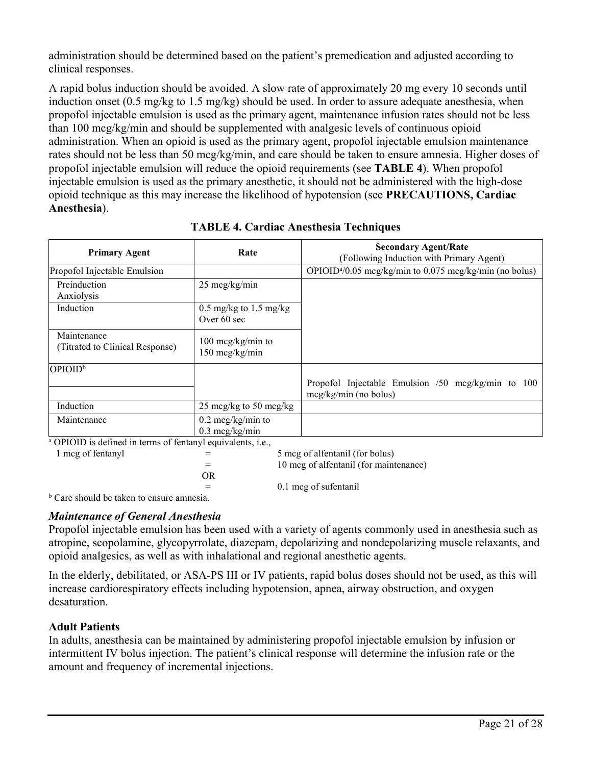administration should be determined based on the patient's premedication and adjusted according to clinical responses.

A rapid bolus induction should be avoided. A slow rate of approximately 20 mg every 10 seconds until induction onset (0.5 mg/kg to 1.5 mg/kg) should be used. In order to assure adequate anesthesia, when propofol injectable emulsion is used as the primary agent, maintenance infusion rates should not be less than 100 mcg/kg/min and should be supplemented with analgesic levels of continuous opioid administration. When an opioid is used as the primary agent, propofol injectable emulsion maintenance rates should not be less than 50 mcg/kg/min, and care should be taken to ensure amnesia. Higher doses of propofol injectable emulsion will reduce the opioid requirements (see **TABLE 4**). When propofol injectable emulsion is used as the primary anesthetic, it should not be administered with the high-dose opioid technique as this may increase the likelihood of hypotension (see **PRECAUTIONS, Cardiac Anesthesia**).

| <b>Primary Agent</b>                           | Rate                                                    | <b>Secondary Agent/Rate</b><br>(Following Induction with Primary Agent)       |
|------------------------------------------------|---------------------------------------------------------|-------------------------------------------------------------------------------|
| Propofol Injectable Emulsion                   |                                                         | OPIOID <sup>a</sup> /0.05 mcg/kg/min to 0.075 mcg/kg/min (no bolus)           |
| Preinduction<br>Anxiolysis                     | $25 \text{~mg/kg/min}$                                  |                                                                               |
| Induction                                      | $0.5 \text{ mg/kg}$ to 1.5 mg/kg<br>Over 60 sec         |                                                                               |
| Maintenance<br>(Titrated to Clinical Response) | $100 \text{~mg/kg/min}$ to<br>150 mcg/kg/min            |                                                                               |
| OPIOID <sup>b</sup>                            |                                                         |                                                                               |
|                                                |                                                         | Propofol Injectable Emulsion /50 mcg/kg/min to 100<br>$mcg/kg/min$ (no bolus) |
| Induction                                      | 25 mcg/kg to 50 mcg/kg                                  |                                                                               |
| Maintenance                                    | $0.2 \text{~mag/kg/min}$ to<br>$0.3 \text{~mcg/kg/min}$ |                                                                               |

## **TABLE 4. Cardiac Anesthesia Techniques**

<sup>a</sup> OPIOID is defined in terms of fentanyl equivalents, i.e.,

| $=$ | 5 mcg of alfentanil (for bolus)        |
|-----|----------------------------------------|
| $=$ | 10 mcg of alfentanil (for maintenance) |
| OR  |                                        |
| $=$ | 0.1 mcg of sufentanil                  |

<sup>b</sup> Care should be taken to ensure amnesia.

# *Maintenance of General Anesthesia*

Propofol injectable emulsion has been used with a variety of agents commonly used in anesthesia such as atropine, scopolamine, glycopyrrolate, diazepam, depolarizing and nondepolarizing muscle relaxants, and opioid analgesics, as well as with inhalational and regional anesthetic agents.

In the elderly, debilitated, or ASA-PS III or IV patients, rapid bolus doses should not be used, as this will increase cardiorespiratory effects including hypotension, apnea, airway obstruction, and oxygen desaturation.

## **Adult Patients**

1 mcg of fentanyl

In adults, anesthesia can be maintained by administering propofol injectable emulsion by infusion or intermittent IV bolus injection. The patient's clinical response will determine the infusion rate or the amount and frequency of incremental injections.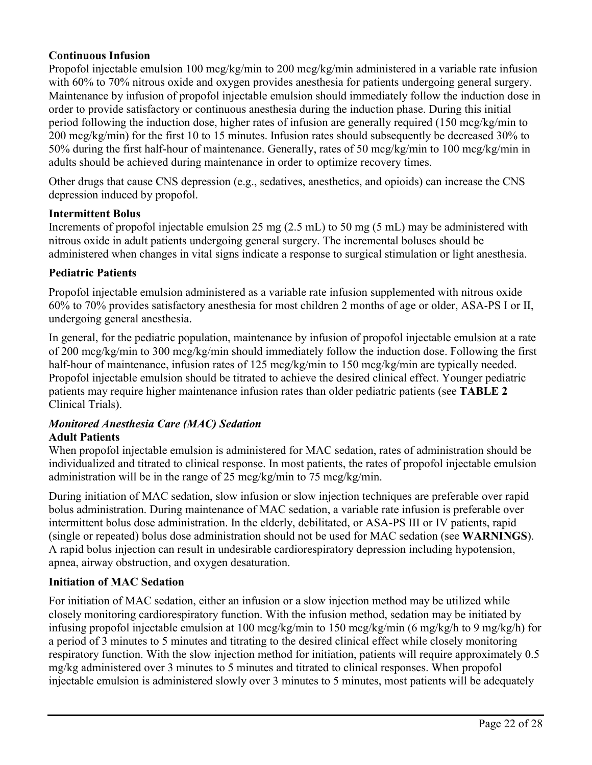#### **Continuous Infusion**

Propofol injectable emulsion 100 mcg/kg/min to 200 mcg/kg/min administered in a variable rate infusion with 60% to 70% nitrous oxide and oxygen provides anesthesia for patients undergoing general surgery. Maintenance by infusion of propofol injectable emulsion should immediately follow the induction dose in order to provide satisfactory or continuous anesthesia during the induction phase. During this initial period following the induction dose, higher rates of infusion are generally required (150 mcg/kg/min to 200 mcg/kg/min) for the first 10 to 15 minutes. Infusion rates should subsequently be decreased 30% to 50% during the first half-hour of maintenance. Generally, rates of 50 mcg/kg/min to 100 mcg/kg/min in adults should be achieved during maintenance in order to optimize recovery times.

Other drugs that cause CNS depression (e.g., sedatives, anesthetics, and opioids) can increase the CNS depression induced by propofol.

#### **Intermittent Bolus**

Increments of propofol injectable emulsion 25 mg (2.5 mL) to 50 mg (5 mL) may be administered with nitrous oxide in adult patients undergoing general surgery. The incremental boluses should be administered when changes in vital signs indicate a response to surgical stimulation or light anesthesia.

#### **Pediatric Patients**

Propofol injectable emulsion administered as a variable rate infusion supplemented with nitrous oxide 60% to 70% provides satisfactory anesthesia for most children 2 months of age or older, ASA-PS I or II, undergoing general anesthesia.

In general, for the pediatric population, maintenance by infusion of propofol injectable emulsion at a rate of 200 mcg/kg/min to 300 mcg/kg/min should immediately follow the induction dose. Following the first half-hour of maintenance, infusion rates of 125 mcg/kg/min to 150 mcg/kg/min are typically needed. Propofol injectable emulsion should be titrated to achieve the desired clinical effect. Younger pediatric patients may require higher maintenance infusion rates than older pediatric patients (see **TABLE 2** Clinical Trials).

#### *Monitored Anesthesia Care (MAC) Sedation*  **Adult Patients**

When propofol injectable emulsion is administered for MAC sedation, rates of administration should be individualized and titrated to clinical response. In most patients, the rates of propofol injectable emulsion administration will be in the range of 25 mcg/kg/min to 75 mcg/kg/min.

During initiation of MAC sedation, slow infusion or slow injection techniques are preferable over rapid bolus administration. During maintenance of MAC sedation, a variable rate infusion is preferable over intermittent bolus dose administration. In the elderly, debilitated, or ASA-PS III or IV patients, rapid (single or repeated) bolus dose administration should not be used for MAC sedation (see **WARNINGS**). A rapid bolus injection can result in undesirable cardiorespiratory depression including hypotension, apnea, airway obstruction, and oxygen desaturation.

#### **Initiation of MAC Sedation**

For initiation of MAC sedation, either an infusion or a slow injection method may be utilized while closely monitoring cardiorespiratory function. With the infusion method, sedation may be initiated by infusing propofol injectable emulsion at 100 mcg/kg/min to 150 mcg/kg/min (6 mg/kg/h to 9 mg/kg/h) for a period of 3 minutes to 5 minutes and titrating to the desired clinical effect while closely monitoring respiratory function. With the slow injection method for initiation, patients will require approximately 0.5 mg/kg administered over 3 minutes to 5 minutes and titrated to clinical responses. When propofol injectable emulsion is administered slowly over 3 minutes to 5 minutes, most patients will be adequately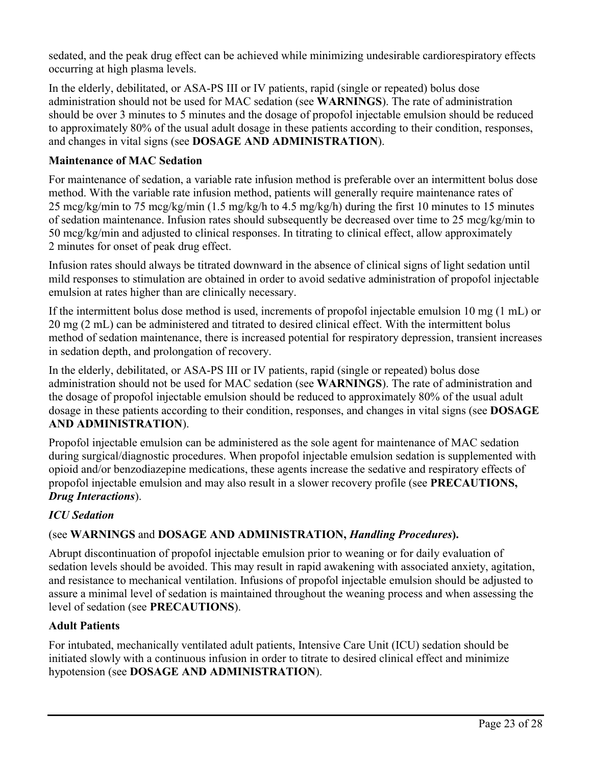sedated, and the peak drug effect can be achieved while minimizing undesirable cardiorespiratory effects occurring at high plasma levels.

In the elderly, debilitated, or ASA-PS III or IV patients, rapid (single or repeated) bolus dose administration should not be used for MAC sedation (see **WARNINGS**). The rate of administration should be over 3 minutes to 5 minutes and the dosage of propofol injectable emulsion should be reduced to approximately 80% of the usual adult dosage in these patients according to their condition, responses, and changes in vital signs (see **DOSAGE AND ADMINISTRATION**).

### **Maintenance of MAC Sedation**

For maintenance of sedation, a variable rate infusion method is preferable over an intermittent bolus dose method. With the variable rate infusion method, patients will generally require maintenance rates of 25 mcg/kg/min to 75 mcg/kg/min (1.5 mg/kg/h to 4.5 mg/kg/h) during the first 10 minutes to 15 minutes of sedation maintenance. Infusion rates should subsequently be decreased over time to 25 mcg/kg/min to 50 mcg/kg/min and adjusted to clinical responses. In titrating to clinical effect, allow approximately 2 minutes for onset of peak drug effect.

Infusion rates should always be titrated downward in the absence of clinical signs of light sedation until mild responses to stimulation are obtained in order to avoid sedative administration of propofol injectable emulsion at rates higher than are clinically necessary.

If the intermittent bolus dose method is used, increments of propofol injectable emulsion 10 mg (1 mL) or 20 mg (2 mL) can be administered and titrated to desired clinical effect. With the intermittent bolus method of sedation maintenance, there is increased potential for respiratory depression, transient increases in sedation depth, and prolongation of recovery.

In the elderly, debilitated, or ASA-PS III or IV patients, rapid (single or repeated) bolus dose administration should not be used for MAC sedation (see **WARNINGS**). The rate of administration and the dosage of propofol injectable emulsion should be reduced to approximately 80% of the usual adult dosage in these patients according to their condition, responses, and changes in vital signs (see **DOSAGE AND ADMINISTRATION**).

Propofol injectable emulsion can be administered as the sole agent for maintenance of MAC sedation during surgical/diagnostic procedures. When propofol injectable emulsion sedation is supplemented with opioid and/or benzodiazepine medications, these agents increase the sedative and respiratory effects of propofol injectable emulsion and may also result in a slower recovery profile (see **PRECAUTIONS,** *Drug Interactions*).

## *ICU Sedation*

## (see **WARNINGS** and **DOSAGE AND ADMINISTRATION,** *Handling Procedures***).**

Abrupt discontinuation of propofol injectable emulsion prior to weaning or for daily evaluation of sedation levels should be avoided. This may result in rapid awakening with associated anxiety, agitation, and resistance to mechanical ventilation. Infusions of propofol injectable emulsion should be adjusted to assure a minimal level of sedation is maintained throughout the weaning process and when assessing the level of sedation (see **PRECAUTIONS**).

#### **Adult Patients**

For intubated, mechanically ventilated adult patients, Intensive Care Unit (ICU) sedation should be initiated slowly with a continuous infusion in order to titrate to desired clinical effect and minimize hypotension (see **DOSAGE AND ADMINISTRATION**).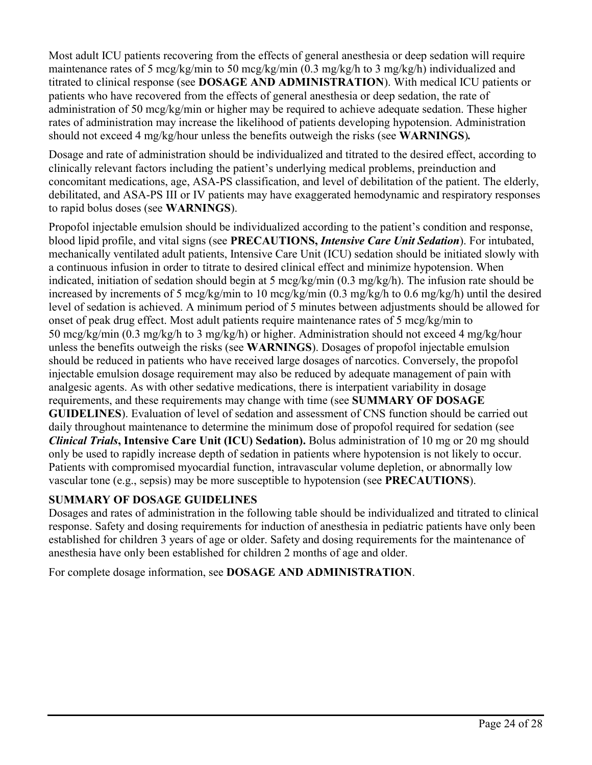Most adult ICU patients recovering from the effects of general anesthesia or deep sedation will require maintenance rates of 5 mcg/kg/min to 50 mcg/kg/min (0.3 mg/kg/h to 3 mg/kg/h) individualized and titrated to clinical response (see **DOSAGE AND ADMINISTRATION**). With medical ICU patients or patients who have recovered from the effects of general anesthesia or deep sedation, the rate of administration of 50 mcg/kg/min or higher may be required to achieve adequate sedation. These higher rates of administration may increase the likelihood of patients developing hypotension. Administration should not exceed 4 mg/kg/hour unless the benefits outweigh the risks (see **WARNINGS**)*.*

Dosage and rate of administration should be individualized and titrated to the desired effect, according to clinically relevant factors including the patient's underlying medical problems, preinduction and concomitant medications, age, ASA-PS classification, and level of debilitation of the patient. The elderly, debilitated, and ASA-PS III or IV patients may have exaggerated hemodynamic and respiratory responses to rapid bolus doses (see **WARNINGS**).

Propofol injectable emulsion should be individualized according to the patient's condition and response, blood lipid profile, and vital signs (see **PRECAUTIONS,** *Intensive Care Unit Sedation*). For intubated, mechanically ventilated adult patients, Intensive Care Unit (ICU) sedation should be initiated slowly with a continuous infusion in order to titrate to desired clinical effect and minimize hypotension. When indicated, initiation of sedation should begin at 5 mcg/kg/min (0.3 mg/kg/h). The infusion rate should be increased by increments of 5 mcg/kg/min to 10 mcg/kg/min (0.3 mg/kg/h to 0.6 mg/kg/h) until the desired level of sedation is achieved. A minimum period of 5 minutes between adjustments should be allowed for onset of peak drug effect. Most adult patients require maintenance rates of 5 mcg/kg/min to 50 mcg/kg/min (0.3 mg/kg/h to 3 mg/kg/h) or higher. Administration should not exceed 4 mg/kg/hour unless the benefits outweigh the risks (see **WARNINGS**). Dosages of propofol injectable emulsion should be reduced in patients who have received large dosages of narcotics. Conversely, the propofol injectable emulsion dosage requirement may also be reduced by adequate management of pain with analgesic agents. As with other sedative medications, there is interpatient variability in dosage requirements, and these requirements may change with time (see **SUMMARY OF DOSAGE GUIDELINES**). Evaluation of level of sedation and assessment of CNS function should be carried out daily throughout maintenance to determine the minimum dose of propofol required for sedation (see *Clinical Trials***, Intensive Care Unit (ICU) Sedation).** Bolus administration of 10 mg or 20 mg should only be used to rapidly increase depth of sedation in patients where hypotension is not likely to occur. Patients with compromised myocardial function, intravascular volume depletion, or abnormally low vascular tone (e.g., sepsis) may be more susceptible to hypotension (see **PRECAUTIONS**).

## **SUMMARY OF DOSAGE GUIDELINES**

Dosages and rates of administration in the following table should be individualized and titrated to clinical response. Safety and dosing requirements for induction of anesthesia in pediatric patients have only been established for children 3 years of age or older. Safety and dosing requirements for the maintenance of anesthesia have only been established for children 2 months of age and older.

For complete dosage information, see **DOSAGE AND ADMINISTRATION**.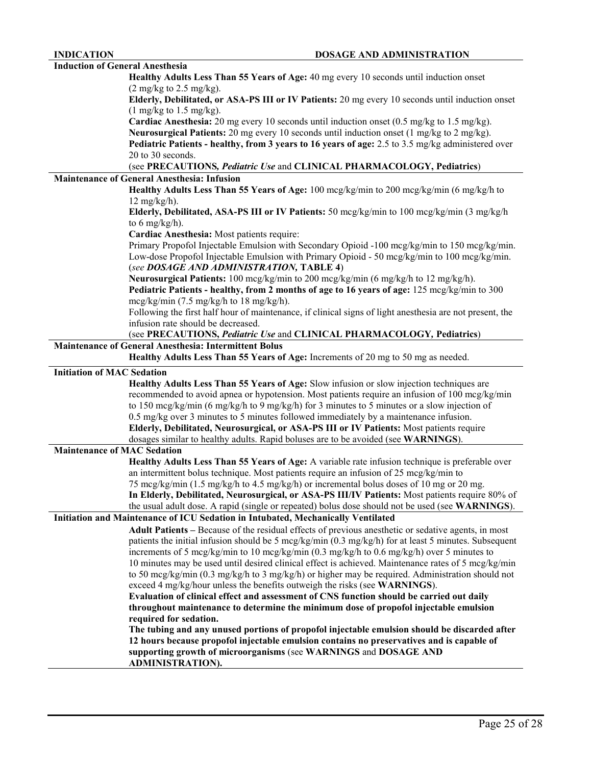| <b>Induction of General Anesthesia</b> |                                                                                                                       |
|----------------------------------------|-----------------------------------------------------------------------------------------------------------------------|
|                                        | Healthy Adults Less Than 55 Years of Age: 40 mg every 10 seconds until induction onset                                |
|                                        | $(2 \text{ mg/kg}$ to $2.5 \text{ mg/kg}$ .                                                                           |
|                                        | Elderly, Debilitated, or ASA-PS III or IV Patients: 20 mg every 10 seconds until induction onset                      |
|                                        | $(1 \text{ mg/kg}$ to $1.5 \text{ mg/kg}$ .                                                                           |
|                                        | <b>Cardiac Anesthesia:</b> 20 mg every 10 seconds until induction onset $(0.5 \text{ mg/kg to } 1.5 \text{ mg/kg})$ . |
|                                        | <b>Neurosurgical Patients:</b> 20 mg every 10 seconds until induction onset $(1 \text{ mg/kg to 2 mg/kg})$ .          |
|                                        | Pediatric Patients - healthy, from 3 years to 16 years of age: 2.5 to 3.5 mg/kg administered over                     |
|                                        | 20 to 30 seconds.                                                                                                     |
|                                        | (see PRECAUTIONS, Pediatric Use and CLINICAL PHARMACOLOGY, Pediatrics)                                                |
|                                        | <b>Maintenance of General Anesthesia: Infusion</b>                                                                    |
|                                        | Healthy Adults Less Than 55 Years of Age: 100 mcg/kg/min to 200 mcg/kg/min (6 mg/kg/h to                              |
|                                        | $12 \text{ mg/kg/h}$ .                                                                                                |
|                                        | Elderly, Debilitated, ASA-PS III or IV Patients: 50 mcg/kg/min to 100 mcg/kg/min (3 mg/kg/h                           |
|                                        | to 6 mg/kg/h).                                                                                                        |
|                                        | Cardiac Anesthesia: Most patients require:                                                                            |
|                                        | Primary Propofol Injectable Emulsion with Secondary Opioid -100 mcg/kg/min to 150 mcg/kg/min.                         |
|                                        | Low-dose Propofol Injectable Emulsion with Primary Opioid - 50 mcg/kg/min to 100 mcg/kg/min.                          |
|                                        | (see DOSAGE AND ADMINISTRATION, TABLE 4)                                                                              |
|                                        | Neurosurgical Patients: 100 mcg/kg/min to 200 mcg/kg/min (6 mg/kg/h to 12 mg/kg/h).                                   |
|                                        |                                                                                                                       |
|                                        | Pediatric Patients - healthy, from 2 months of age to 16 years of age: 125 mcg/kg/min to 300                          |
|                                        | $mcg/kg/min$ (7.5 mg/kg/h to 18 mg/kg/h).                                                                             |
|                                        | Following the first half hour of maintenance, if clinical signs of light anesthesia are not present, the              |
|                                        | infusion rate should be decreased.                                                                                    |
|                                        | (see PRECAUTIONS, Pediatric Use and CLINICAL PHARMACOLOGY, Pediatrics)                                                |
|                                        | <b>Maintenance of General Anesthesia: Intermittent Bolus</b>                                                          |
|                                        | Healthy Adults Less Than 55 Years of Age: Increments of 20 mg to 50 mg as needed.                                     |
|                                        |                                                                                                                       |
| <b>Initiation of MAC Sedation</b>      |                                                                                                                       |
|                                        |                                                                                                                       |
|                                        | Healthy Adults Less Than 55 Years of Age: Slow infusion or slow injection techniques are                              |
|                                        | recommended to avoid apnea or hypotension. Most patients require an infusion of 100 mcg/kg/min                        |
|                                        | to 150 mcg/kg/min (6 mg/kg/h to 9 mg/kg/h) for 3 minutes to 5 minutes or a slow injection of                          |
|                                        | 0.5 mg/kg over 3 minutes to 5 minutes followed immediately by a maintenance infusion.                                 |
|                                        | Elderly, Debilitated, Neurosurgical, or ASA-PS III or IV Patients: Most patients require                              |
|                                        | dosages similar to healthy adults. Rapid boluses are to be avoided (see WARNINGS).                                    |
| <b>Maintenance of MAC Sedation</b>     |                                                                                                                       |
|                                        | Healthy Adults Less Than 55 Years of Age: A variable rate infusion technique is preferable over                       |
|                                        | an intermittent bolus technique. Most patients require an infusion of 25 mcg/kg/min to                                |
|                                        | 75 mcg/kg/min (1.5 mg/kg/h to 4.5 mg/kg/h) or incremental bolus doses of 10 mg or 20 mg.                              |
|                                        | In Elderly, Debilitated, Neurosurgical, or ASA-PS III/IV Patients: Most patients require 80% of                       |
|                                        | the usual adult dose. A rapid (single or repeated) bolus dose should not be used (see WARNINGS).                      |
|                                        | Initiation and Maintenance of ICU Sedation in Intubated, Mechanically Ventilated                                      |
|                                        | Adult Patients - Because of the residual effects of previous anesthetic or sedative agents, in most                   |
|                                        | patients the initial infusion should be 5 mcg/kg/min $(0.3 \text{ mg/kg/n})$ for at least 5 minutes. Subsequent       |
|                                        | increments of 5 mcg/kg/min to 10 mcg/kg/min (0.3 mg/kg/h to 0.6 mg/kg/h) over 5 minutes to                            |
|                                        | 10 minutes may be used until desired clinical effect is achieved. Maintenance rates of 5 mcg/kg/min                   |
|                                        | to 50 mcg/kg/min (0.3 mg/kg/h to 3 mg/kg/h) or higher may be required. Administration should not                      |
|                                        | exceed 4 mg/kg/hour unless the benefits outweigh the risks (see WARNINGS).                                            |
|                                        | Evaluation of clinical effect and assessment of CNS function should be carried out daily                              |
|                                        | throughout maintenance to determine the minimum dose of propofol injectable emulsion                                  |
|                                        | required for sedation.                                                                                                |
|                                        | The tubing and any unused portions of propofol injectable emulsion should be discarded after                          |
|                                        | 12 hours because propofol injectable emulsion contains no preservatives and is capable of                             |
|                                        | supporting growth of microorganisms (see WARNINGS and DOSAGE AND<br><b>ADMINISTRATION).</b>                           |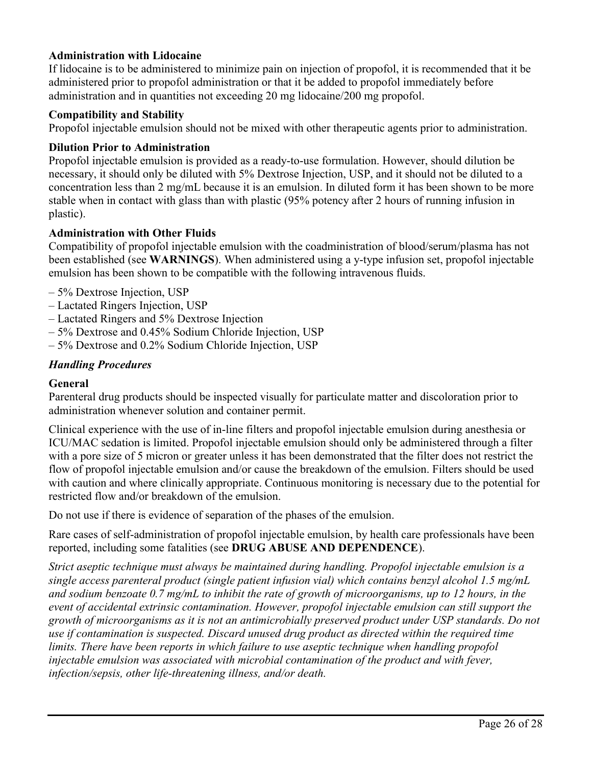#### **Administration with Lidocaine**

If lidocaine is to be administered to minimize pain on injection of propofol, it is recommended that it be administered prior to propofol administration or that it be added to propofol immediately before administration and in quantities not exceeding 20 mg lidocaine/200 mg propofol.

#### **Compatibility and Stability**

Propofol injectable emulsion should not be mixed with other therapeutic agents prior to administration.

#### **Dilution Prior to Administration**

Propofol injectable emulsion is provided as a ready-to-use formulation. However, should dilution be necessary, it should only be diluted with 5% Dextrose Injection, USP, and it should not be diluted to a concentration less than 2 mg/mL because it is an emulsion. In diluted form it has been shown to be more stable when in contact with glass than with plastic (95% potency after 2 hours of running infusion in plastic).

#### **Administration with Other Fluids**

Compatibility of propofol injectable emulsion with the coadministration of blood/serum/plasma has not been established (see **WARNINGS**). When administered using a y-type infusion set, propofol injectable emulsion has been shown to be compatible with the following intravenous fluids.

- 5% Dextrose Injection, USP
- Lactated Ringers Injection, USP
- Lactated Ringers and 5% Dextrose Injection
- 5% Dextrose and 0.45% Sodium Chloride Injection, USP
- 5% Dextrose and 0.2% Sodium Chloride Injection, USP

#### *Handling Procedures*

#### **General**

Parenteral drug products should be inspected visually for particulate matter and discoloration prior to administration whenever solution and container permit.

Clinical experience with the use of in-line filters and propofol injectable emulsion during anesthesia or ICU/MAC sedation is limited. Propofol injectable emulsion should only be administered through a filter with a pore size of 5 micron or greater unless it has been demonstrated that the filter does not restrict the flow of propofol injectable emulsion and/or cause the breakdown of the emulsion. Filters should be used with caution and where clinically appropriate. Continuous monitoring is necessary due to the potential for restricted flow and/or breakdown of the emulsion.

Do not use if there is evidence of separation of the phases of the emulsion.

Rare cases of self-administration of propofol injectable emulsion, by health care professionals have been reported, including some fatalities (see **DRUG ABUSE AND DEPENDENCE**).

*Strict aseptic technique must always be maintained during handling. Propofol injectable emulsion is a single access parenteral product (single patient infusion vial) which contains benzyl alcohol 1.5 mg/mL and sodium benzoate 0.7 mg/mL to inhibit the rate of growth of microorganisms, up to 12 hours, in the event of accidental extrinsic contamination. However, propofol injectable emulsion can still support the growth of microorganisms as it is not an antimicrobially preserved product under USP standards. Do not use if contamination is suspected. Discard unused drug product as directed within the required time limits. There have been reports in which failure to use aseptic technique when handling propofol injectable emulsion was associated with microbial contamination of the product and with fever, infection/sepsis, other life-threatening illness, and/or death.*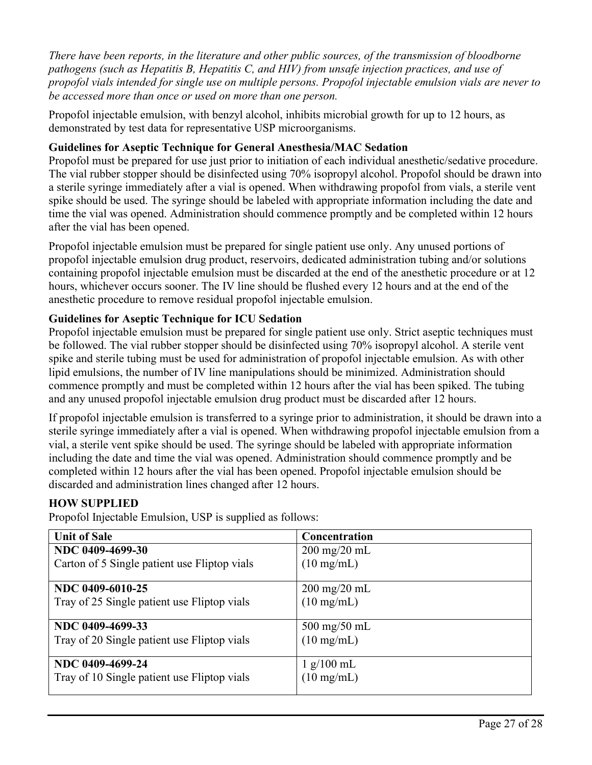*There have been reports, in the literature and other public sources, of the transmission of bloodborne pathogens (such as Hepatitis B, Hepatitis C, and HIV) from unsafe injection practices, and use of propofol vials intended for single use on multiple persons. Propofol injectable emulsion vials are never to be accessed more than once or used on more than one person.*

Propofol injectable emulsion, with benzyl alcohol, inhibits microbial growth for up to 12 hours, as demonstrated by test data for representative USP microorganisms.

### **Guidelines for Aseptic Technique for General Anesthesia/MAC Sedation**

Propofol must be prepared for use just prior to initiation of each individual anesthetic/sedative procedure. The vial rubber stopper should be disinfected using 70% isopropyl alcohol. Propofol should be drawn into a sterile syringe immediately after a vial is opened. When withdrawing propofol from vials, a sterile vent spike should be used. The syringe should be labeled with appropriate information including the date and time the vial was opened. Administration should commence promptly and be completed within 12 hours after the vial has been opened.

Propofol injectable emulsion must be prepared for single patient use only. Any unused portions of propofol injectable emulsion drug product, reservoirs, dedicated administration tubing and/or solutions containing propofol injectable emulsion must be discarded at the end of the anesthetic procedure or at 12 hours, whichever occurs sooner. The IV line should be flushed every 12 hours and at the end of the anesthetic procedure to remove residual propofol injectable emulsion.

### **Guidelines for Aseptic Technique for ICU Sedation**

Propofol injectable emulsion must be prepared for single patient use only. Strict aseptic techniques must be followed. The vial rubber stopper should be disinfected using 70% isopropyl alcohol. A sterile vent spike and sterile tubing must be used for administration of propofol injectable emulsion. As with other lipid emulsions, the number of IV line manipulations should be minimized. Administration should commence promptly and must be completed within 12 hours after the vial has been spiked. The tubing and any unused propofol injectable emulsion drug product must be discarded after 12 hours.

If propofol injectable emulsion is transferred to a syringe prior to administration, it should be drawn into a sterile syringe immediately after a vial is opened. When withdrawing propofol injectable emulsion from a vial, a sterile vent spike should be used. The syringe should be labeled with appropriate information including the date and time the vial was opened. Administration should commence promptly and be completed within 12 hours after the vial has been opened. Propofol injectable emulsion should be discarded and administration lines changed after 12 hours.

#### **HOW SUPPLIED**

Propofol Injectable Emulsion, USP is supplied as follows:

| <b>Unit of Sale</b>                          | Concentration                  |
|----------------------------------------------|--------------------------------|
| NDC 0409-4699-30                             | $200 \text{ mg}/20 \text{ mL}$ |
| Carton of 5 Single patient use Fliptop vials | $(10 \text{ mg/mL})$           |
|                                              |                                |
| NDC 0409-6010-25                             | $200 \text{ mg}/20 \text{ mL}$ |
| Tray of 25 Single patient use Fliptop vials  | $(10 \text{ mg/mL})$           |
|                                              |                                |
| NDC 0409-4699-33                             | $500 \text{ mg}/50 \text{ mL}$ |
| Tray of 20 Single patient use Fliptop vials  | $(10 \text{ mg/mL})$           |
|                                              |                                |
| NDC 0409-4699-24                             | 1 g/100 mL                     |
| Tray of 10 Single patient use Fliptop vials  | $(10 \text{ mg/mL})$           |
|                                              |                                |